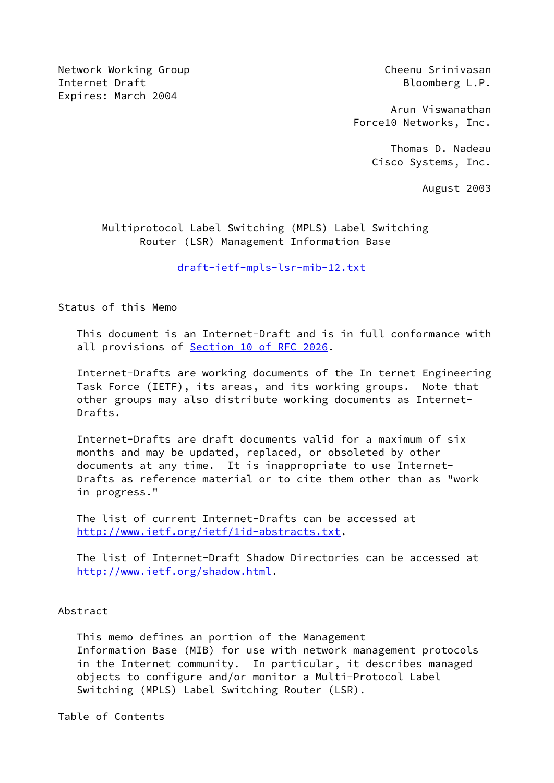Network Working Group Cheenu Srinivasan Internet Draft **Bloomberg L.P.** Expires: March 2004

 Arun Viswanathan Force10 Networks, Inc.

> Thomas D. Nadeau Cisco Systems, Inc.

> > August 2003

 Multiprotocol Label Switching (MPLS) Label Switching Router (LSR) Management Information Base

[draft-ietf-mpls-lsr-mib-12.txt](https://datatracker.ietf.org/doc/pdf/draft-ietf-mpls-lsr-mib-12.txt)

Status of this Memo

 This document is an Internet-Draft and is in full conformance with all provisions of Section [10 of RFC 2026](https://datatracker.ietf.org/doc/pdf/rfc2026#section-10).

 Internet-Drafts are working documents of the In ternet Engineering Task Force (IETF), its areas, and its working groups. Note that other groups may also distribute working documents as Internet- Drafts.

 Internet-Drafts are draft documents valid for a maximum of six months and may be updated, replaced, or obsoleted by other documents at any time. It is inappropriate to use Internet- Drafts as reference material or to cite them other than as "work in progress."

 The list of current Internet-Drafts can be accessed at <http://www.ietf.org/ietf/1id-abstracts.txt>.

 The list of Internet-Draft Shadow Directories can be accessed at <http://www.ietf.org/shadow.html>.

#### Abstract

 This memo defines an portion of the Management Information Base (MIB) for use with network management protocols in the Internet community. In particular, it describes managed objects to configure and/or monitor a Multi-Protocol Label Switching (MPLS) Label Switching Router (LSR).

Table of Contents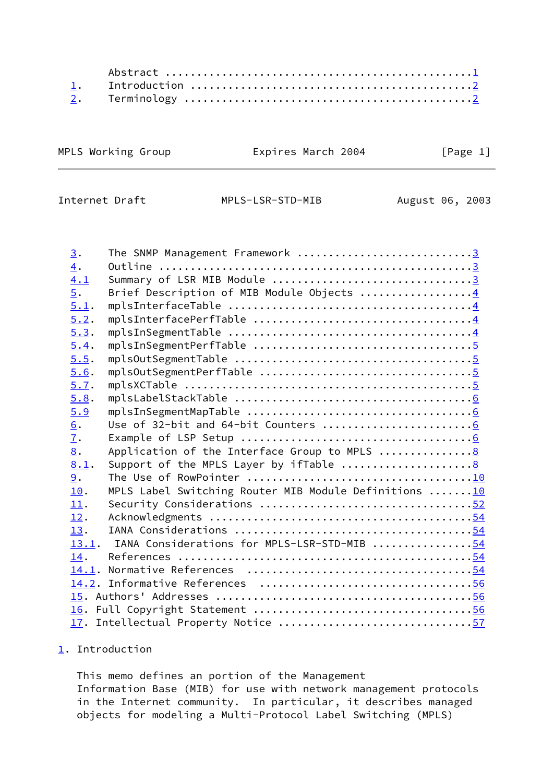| MPLS Working Group | Expires March 2004 | [Page 1] |
|--------------------|--------------------|----------|
|                    |                    |          |

<span id="page-1-1"></span>Internet Draft MPLS-LSR-STD-MIB August 06, 2003

| $\underline{3}$ . | The SNMP Management Framework 3                                                  |  |
|-------------------|----------------------------------------------------------------------------------|--|
| $\overline{4}$ .  |                                                                                  |  |
| 4.1               | Summary of LSR MIB Module 3                                                      |  |
| $\overline{5}$ .  | Brief Description of MIB Module Objects 4                                        |  |
| 5.1.              |                                                                                  |  |
| 5.2.              |                                                                                  |  |
| 5.3.              |                                                                                  |  |
| 5.4.              |                                                                                  |  |
| 5.5.              |                                                                                  |  |
| 5.6.              |                                                                                  |  |
| 5.7.              |                                                                                  |  |
| 5.8.              |                                                                                  |  |
| 5.9               |                                                                                  |  |
| 6.                |                                                                                  |  |
| 7.                |                                                                                  |  |
| 8.                | Application of the Interface Group to MPLS 8                                     |  |
| 8.1.              | Support of the MPLS Layer by ifTable $\ldots \ldots \ldots \ldots \ldots \ldots$ |  |
| 9.                |                                                                                  |  |
| 10.               | MPLS Label Switching Router MIB Module Definitions  10                           |  |
| 11.               | Security Considerations 52                                                       |  |
| 12.               |                                                                                  |  |
| 13.               |                                                                                  |  |
| 13.1.             | IANA Considerations for MPLS-LSR-STD-MIB 54                                      |  |
| 14.               |                                                                                  |  |
|                   |                                                                                  |  |
|                   |                                                                                  |  |
|                   |                                                                                  |  |
|                   |                                                                                  |  |
|                   | 17. Intellectual Property Notice 57                                              |  |

# <span id="page-1-0"></span>[1](#page-1-0). Introduction

 This memo defines an portion of the Management Information Base (MIB) for use with network management protocols in the Internet community. In particular, it describes managed objects for modeling a Multi-Protocol Label Switching (MPLS)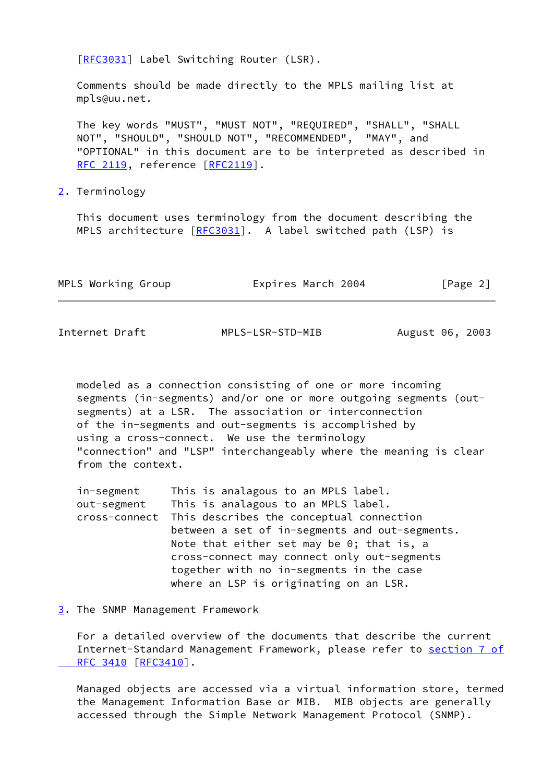[\[RFC3031](https://datatracker.ietf.org/doc/pdf/rfc3031)] Label Switching Router (LSR).

 Comments should be made directly to the MPLS mailing list at mpls@uu.net.

 The key words "MUST", "MUST NOT", "REQUIRED", "SHALL", "SHALL NOT", "SHOULD", "SHOULD NOT", "RECOMMENDED", "MAY", and "OPTIONAL" in this document are to be interpreted as described in [RFC 2119](https://datatracker.ietf.org/doc/pdf/rfc2119), reference [\[RFC2119](https://datatracker.ietf.org/doc/pdf/rfc2119)].

<span id="page-2-0"></span>[2](#page-2-0). Terminology

 This document uses terminology from the document describing the MPLS architecture [[RFC3031](https://datatracker.ietf.org/doc/pdf/rfc3031)]. A label switched path (LSP) is

| MPLS Working Group | Expires March 2004 | [Page 2] |  |
|--------------------|--------------------|----------|--|
|                    |                    |          |  |

<span id="page-2-2"></span>Internet Draft MPLS-LSR-STD-MIB August 06, 2003

 modeled as a connection consisting of one or more incoming segments (in-segments) and/or one or more outgoing segments (out segments) at a LSR. The association or interconnection of the in-segments and out-segments is accomplished by using a cross-connect. We use the terminology "connection" and "LSP" interchangeably where the meaning is clear from the context.

| in-segment    | This is analagous to an MPLS label.            |
|---------------|------------------------------------------------|
| out-segment   | This is analagous to an MPLS label.            |
| cross-connect | This describes the conceptual connection       |
|               | between a set of in-segments and out-segments. |
|               | Note that either set may be $0$ ; that is, a   |
|               | cross-connect may connect only out-segments    |
|               | together with no in-segments in the case       |
|               | where an LSP is originating on an LSR.         |

<span id="page-2-1"></span>[3](#page-2-1). The SNMP Management Framework

 For a detailed overview of the documents that describe the current Internet-Standard Management Framework, please refer to [section](https://datatracker.ietf.org/doc/pdf/rfc3410#section-7) 7 of RFC 3410 [\[RFC3410](https://datatracker.ietf.org/doc/pdf/rfc3410)].

 Managed objects are accessed via a virtual information store, termed the Management Information Base or MIB. MIB objects are generally accessed through the Simple Network Management Protocol (SNMP).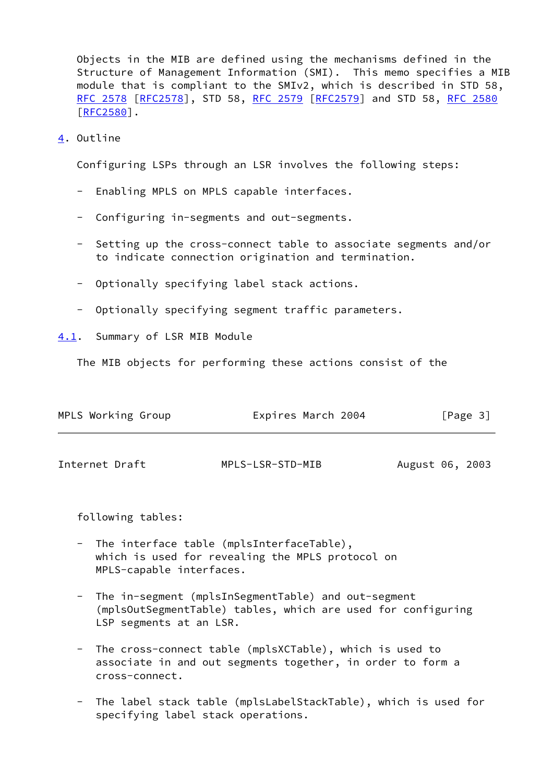Objects in the MIB are defined using the mechanisms defined in the Structure of Management Information (SMI). This memo specifies a MIB module that is compliant to the SMIv2, which is described in STD 58, [RFC 2578](https://datatracker.ietf.org/doc/pdf/rfc2578) [\[RFC2578](https://datatracker.ietf.org/doc/pdf/rfc2578)], STD 58, [RFC 2579 \[RFC2579](https://datatracker.ietf.org/doc/pdf/rfc2579)] and STD 58, [RFC 2580](https://datatracker.ietf.org/doc/pdf/rfc2580) [\[RFC2580](https://datatracker.ietf.org/doc/pdf/rfc2580)].

<span id="page-3-0"></span>[4](#page-3-0). Outline

Configuring LSPs through an LSR involves the following steps:

- Enabling MPLS on MPLS capable interfaces.
- Configuring in-segments and out-segments.
- Setting up the cross-connect table to associate segments and/or to indicate connection origination and termination.
- Optionally specifying label stack actions.
- Optionally specifying segment traffic parameters.

<span id="page-3-1"></span>[4.1](#page-3-1). Summary of LSR MIB Module

The MIB objects for performing these actions consist of the

<span id="page-3-2"></span>

| MPLS Working Group | Expires March 2004 | [Page 3]        |
|--------------------|--------------------|-----------------|
| Internet Draft     | MPLS-LSR-STD-MIB   | August 06, 2003 |

following tables:

- The interface table (mplsInterfaceTable), which is used for revealing the MPLS protocol on MPLS-capable interfaces.
- The in-segment (mplsInSegmentTable) and out-segment (mplsOutSegmentTable) tables, which are used for configuring LSP segments at an LSR.
- The cross-connect table (mplsXCTable), which is used to associate in and out segments together, in order to form a cross-connect.
- The label stack table (mplsLabelStackTable), which is used for specifying label stack operations.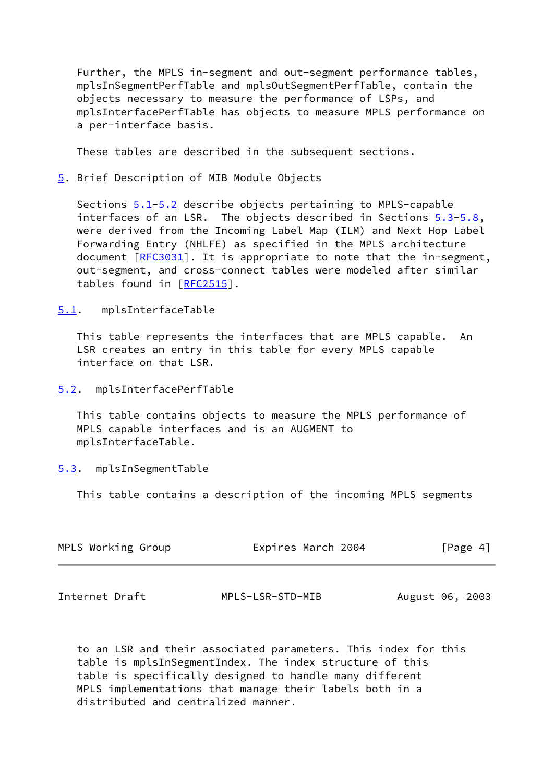Further, the MPLS in-segment and out-segment performance tables, mplsInSegmentPerfTable and mplsOutSegmentPerfTable, contain the objects necessary to measure the performance of LSPs, and mplsInterfacePerfTable has objects to measure MPLS performance on a per-interface basis.

These tables are described in the subsequent sections.

#### <span id="page-4-0"></span>[5](#page-4-0). Brief Description of MIB Module Objects

Sections  $5.1 - 5.2$  describe objects pertaining to MPLS-capable interfaces of an LSR. The objects described in Sections [5.3](#page-4-3)[-5.8](#page-6-0), were derived from the Incoming Label Map (ILM) and Next Hop Label Forwarding Entry (NHLFE) as specified in the MPLS architecture document [\[RFC3031](https://datatracker.ietf.org/doc/pdf/rfc3031)]. It is appropriate to note that the in-segment, out-segment, and cross-connect tables were modeled after similar tables found in [\[RFC2515](https://datatracker.ietf.org/doc/pdf/rfc2515)].

<span id="page-4-1"></span>[5.1](#page-4-1). mplsInterfaceTable

 This table represents the interfaces that are MPLS capable. An LSR creates an entry in this table for every MPLS capable interface on that LSR.

<span id="page-4-2"></span>[5.2](#page-4-2). mplsInterfacePerfTable

 This table contains objects to measure the MPLS performance of MPLS capable interfaces and is an AUGMENT to mplsInterfaceTable.

## <span id="page-4-3"></span>[5.3](#page-4-3). mplsInSegmentTable

This table contains a description of the incoming MPLS segments

| MPLS Working Group | Expires March 2004 | [Page 4] |
|--------------------|--------------------|----------|
|                    |                    |          |

<span id="page-4-4"></span>Internet Draft MPLS-LSR-STD-MIB August 06, 2003

 to an LSR and their associated parameters. This index for this table is mplsInSegmentIndex. The index structure of this table is specifically designed to handle many different MPLS implementations that manage their labels both in a distributed and centralized manner.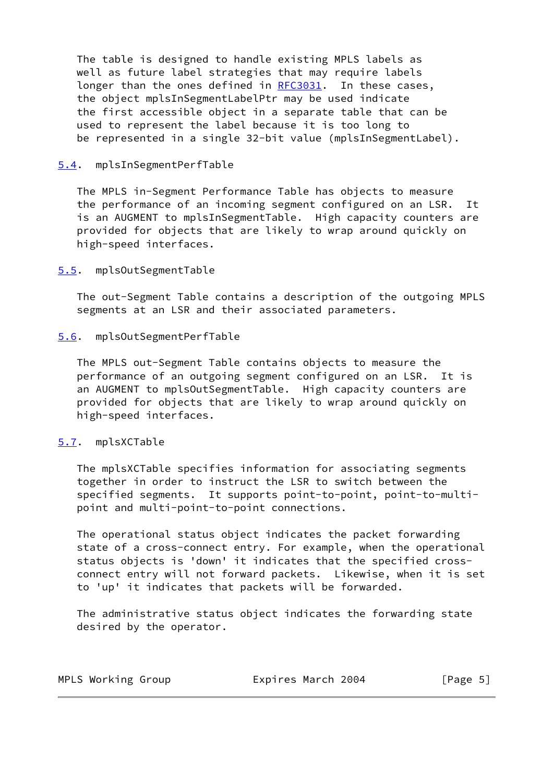The table is designed to handle existing MPLS labels as well as future label strategies that may require labels longer than the ones defined in [RFC3031](https://datatracker.ietf.org/doc/pdf/rfc3031). In these cases, the object mplsInSegmentLabelPtr may be used indicate the first accessible object in a separate table that can be used to represent the label because it is too long to be represented in a single 32-bit value (mplsInSegmentLabel).

#### <span id="page-5-0"></span>[5.4](#page-5-0). mplsInSegmentPerfTable

 The MPLS in-Segment Performance Table has objects to measure the performance of an incoming segment configured on an LSR. It is an AUGMENT to mplsInSegmentTable. High capacity counters are provided for objects that are likely to wrap around quickly on high-speed interfaces.

#### <span id="page-5-1"></span>[5.5](#page-5-1). mplsOutSegmentTable

 The out-Segment Table contains a description of the outgoing MPLS segments at an LSR and their associated parameters.

## <span id="page-5-2"></span>[5.6](#page-5-2). mplsOutSegmentPerfTable

 The MPLS out-Segment Table contains objects to measure the performance of an outgoing segment configured on an LSR. It is an AUGMENT to mplsOutSegmentTable. High capacity counters are provided for objects that are likely to wrap around quickly on high-speed interfaces.

#### <span id="page-5-3"></span>[5.7](#page-5-3). mplsXCTable

 The mplsXCTable specifies information for associating segments together in order to instruct the LSR to switch between the specified segments. It supports point-to-point, point-to-multi point and multi-point-to-point connections.

 The operational status object indicates the packet forwarding state of a cross-connect entry. For example, when the operational status objects is 'down' it indicates that the specified cross connect entry will not forward packets. Likewise, when it is set to 'up' it indicates that packets will be forwarded.

 The administrative status object indicates the forwarding state desired by the operator.

| MPLS Working Group | Expires March 2004 | [Page 5] |
|--------------------|--------------------|----------|
|--------------------|--------------------|----------|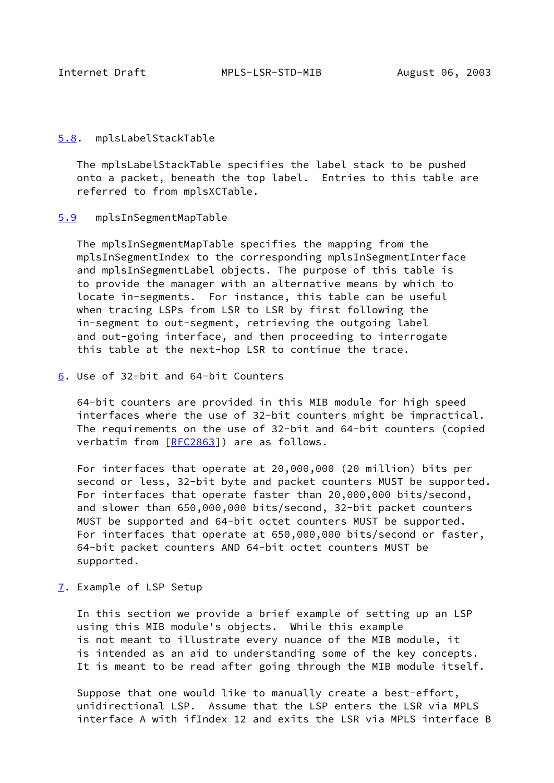<span id="page-6-1"></span>

#### <span id="page-6-0"></span>[5.8](#page-6-0). mplsLabelStackTable

 The mplsLabelStackTable specifies the label stack to be pushed onto a packet, beneath the top label. Entries to this table are referred to from mplsXCTable.

## <span id="page-6-2"></span>[5.9](#page-6-2) mplsInSegmentMapTable

 The mplsInSegmentMapTable specifies the mapping from the mplsInSegmentIndex to the corresponding mplsInSegmentInterface and mplsInSegmentLabel objects. The purpose of this table is to provide the manager with an alternative means by which to locate in-segments. For instance, this table can be useful when tracing LSPs from LSR to LSR by first following the in-segment to out-segment, retrieving the outgoing label and out-going interface, and then proceeding to interrogate this table at the next-hop LSR to continue the trace.

<span id="page-6-3"></span>[6](#page-6-3). Use of 32-bit and 64-bit Counters

 64-bit counters are provided in this MIB module for high speed interfaces where the use of 32-bit counters might be impractical. The requirements on the use of 32-bit and 64-bit counters (copied verbatim from [[RFC2863](https://datatracker.ietf.org/doc/pdf/rfc2863)]) are as follows.

 For interfaces that operate at 20,000,000 (20 million) bits per second or less, 32-bit byte and packet counters MUST be supported. For interfaces that operate faster than 20,000,000 bits/second, and slower than 650,000,000 bits/second, 32-bit packet counters MUST be supported and 64-bit octet counters MUST be supported. For interfaces that operate at 650,000,000 bits/second or faster, 64-bit packet counters AND 64-bit octet counters MUST be supported.

<span id="page-6-4"></span>[7](#page-6-4). Example of LSP Setup

 In this section we provide a brief example of setting up an LSP using this MIB module's objects. While this example is not meant to illustrate every nuance of the MIB module, it is intended as an aid to understanding some of the key concepts. It is meant to be read after going through the MIB module itself.

 Suppose that one would like to manually create a best-effort, unidirectional LSP. Assume that the LSP enters the LSR via MPLS interface A with ifIndex 12 and exits the LSR via MPLS interface B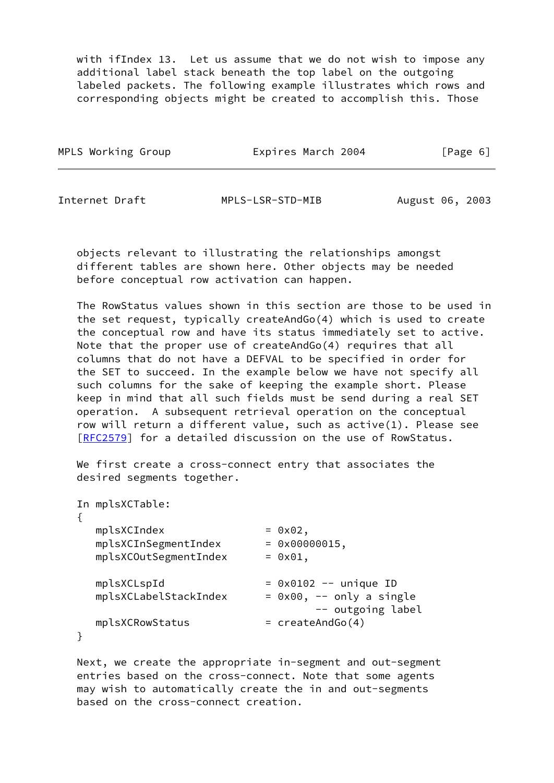with ifIndex 13. Let us assume that we do not wish to impose any additional label stack beneath the top label on the outgoing labeled packets. The following example illustrates which rows and corresponding objects might be created to accomplish this. Those

| MPLS Working Group | Expires March 2004 | [Page 6] |
|--------------------|--------------------|----------|
|                    |                    |          |

Internet Draft MPLS-LSR-STD-MIB August 06, 2003

 objects relevant to illustrating the relationships amongst different tables are shown here. Other objects may be needed before conceptual row activation can happen.

 The RowStatus values shown in this section are those to be used in the set request, typically createAndGo(4) which is used to create the conceptual row and have its status immediately set to active. Note that the proper use of createAndGo(4) requires that all columns that do not have a DEFVAL to be specified in order for the SET to succeed. In the example below we have not specify all such columns for the sake of keeping the example short. Please keep in mind that all such fields must be send during a real SET operation. A subsequent retrieval operation on the conceptual row will return a different value, such as active(1). Please see [\[RFC2579](https://datatracker.ietf.org/doc/pdf/rfc2579)] for a detailed discussion on the use of RowStatus.

 We first create a cross-connect entry that associates the desired segments together.

| In mplsXCTable:       |                                |
|-----------------------|--------------------------------|
|                       |                                |
| mplsXCIndex           | $= 0x02,$                      |
| mplsXCInSegmentIndex  | $= 0 \times 00000015$ ,        |
| mplsXCOutSegmentIndex | $=$ 0x01,                      |
|                       |                                |
| mplsXCLspId           | $= 0x0102$ -- unique ID        |
| mplsXCLabelStackIndex | $= 0x00$ , $- -$ only a single |
|                       | -- outgoing label              |
| mplsXCRowStatus       | $=$ createAndGo(4)             |
|                       |                                |

 Next, we create the appropriate in-segment and out-segment entries based on the cross-connect. Note that some agents may wish to automatically create the in and out-segments based on the cross-connect creation.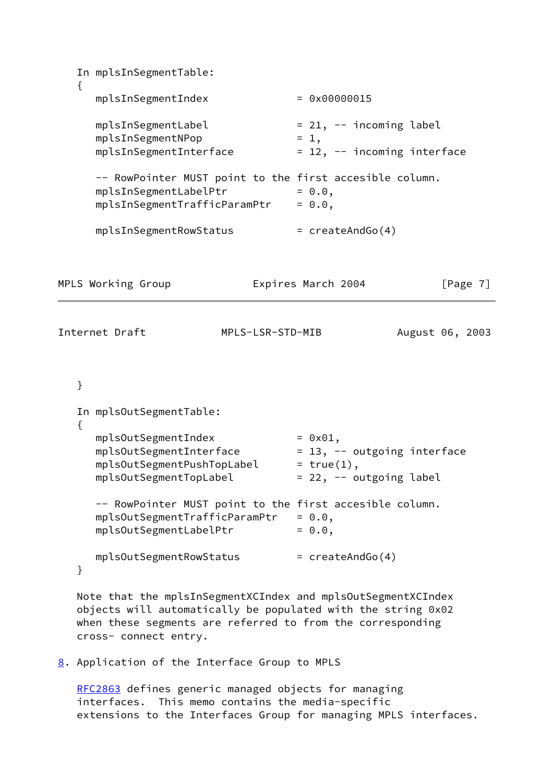```
 In mplsInSegmentTable:
   {
     mplsInSegmentIndex = 0x00000015
 mplsInSegmentLabel = 21, -- incoming label
mplsInSegmentNPop = 1,
    mplsInSegmentInterface = 12, - incoming interface
      -- RowPointer MUST point to the first accesible column.
     mplsInSegmentLabelPtr = 0.0,
    mplsInSegmentTrafficParamPtr = 0.0,
     mplsInSegmentRowStatus = createAndGo(4)
MPLS Working Group Expires March 2004 [Page 7]
Internet Draft MPLS-LSR-STD-MIB August 06, 2003
   }
   In mplsOutSegmentTable:
   {
mplsOutSegmentIndex = 0x01,mplsOutSegmentInterface     = 13, -- outgoing interface
mplsOutSegmentPushTopLabel = true(1),
 mplsOutSegmentTopLabel = 22, -- outgoing label
      -- RowPointer MUST point to the first accesible column.
     mplsOutSegmentTrafficParamPtr = 0.0,
    mplsOutSegmentLabelPtr = 0.0,mplsOutSegmentRowStatus = createAndGo(4)
   }
```
 Note that the mplsInSegmentXCIndex and mplsOutSegmentXCIndex objects will automatically be populated with the string 0x02 when these segments are referred to from the corresponding cross- connect entry.

<span id="page-8-0"></span>[8](#page-8-0). Application of the Interface Group to MPLS

 [RFC2863](https://datatracker.ietf.org/doc/pdf/rfc2863) defines generic managed objects for managing interfaces. This memo contains the media-specific extensions to the Interfaces Group for managing MPLS interfaces.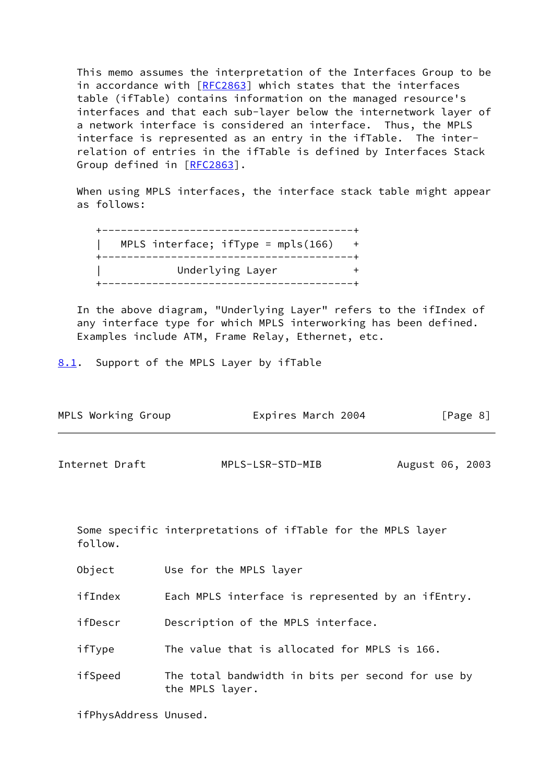This memo assumes the interpretation of the Interfaces Group to be in accordance with [[RFC2863\]](https://datatracker.ietf.org/doc/pdf/rfc2863) which states that the interfaces table (ifTable) contains information on the managed resource's interfaces and that each sub-layer below the internetwork layer of a network interface is considered an interface. Thus, the MPLS interface is represented as an entry in the ifTable. The inter relation of entries in the ifTable is defined by Interfaces Stack Group defined in [\[RFC2863](https://datatracker.ietf.org/doc/pdf/rfc2863)].

 When using MPLS interfaces, the interface stack table might appear as follows:

| -----------                          |  |
|--------------------------------------|--|
| MPLS interface; $ifType = mpls(166)$ |  |
| ______________________               |  |
| Underlying Layer                     |  |
|                                      |  |

 In the above diagram, "Underlying Layer" refers to the ifIndex of any interface type for which MPLS interworking has been defined. Examples include ATM, Frame Relay, Ethernet, etc.

<span id="page-9-0"></span>[8.1](#page-9-0). Support of the MPLS Layer by ifTable

| MPLS Working Group | Expires March 2004 |                 | [Page 8] |
|--------------------|--------------------|-----------------|----------|
| Internet Draft     | MPLS-LSR-STD-MIB   | August 06, 2003 |          |

 Some specific interpretations of ifTable for the MPLS layer follow.

Object Use for the MPLS layer

ifIndex Each MPLS interface is represented by an ifEntry.

ifDescr Description of the MPLS interface.

ifType The value that is allocated for MPLS is 166.

 ifSpeed The total bandwidth in bits per second for use by the MPLS layer.

ifPhysAddress Unused.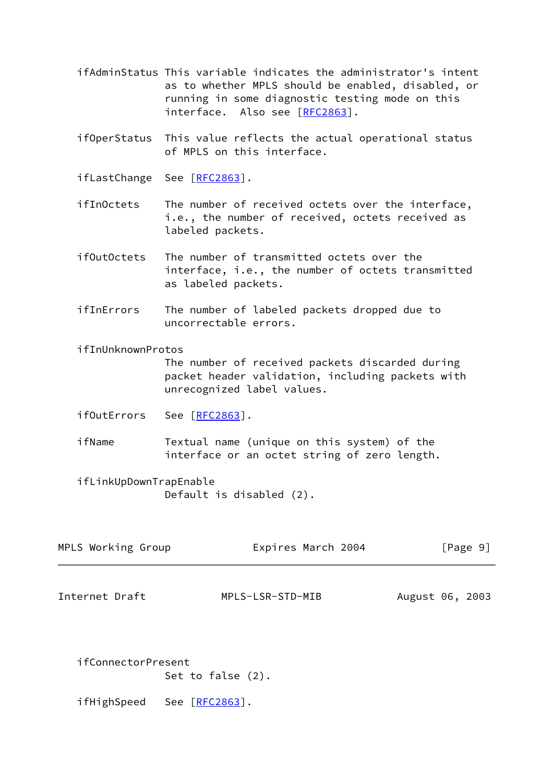- ifAdminStatus This variable indicates the administrator's intent as to whether MPLS should be enabled, disabled, or running in some diagnostic testing mode on this interface. Also see [[RFC2863\]](https://datatracker.ietf.org/doc/pdf/rfc2863).
- ifOperStatus This value reflects the actual operational status of MPLS on this interface.
- ifLastChange See [[RFC2863](https://datatracker.ietf.org/doc/pdf/rfc2863)].
- ifInOctets The number of received octets over the interface, i.e., the number of received, octets received as labeled packets.
- ifOutOctets The number of transmitted octets over the interface, i.e., the number of octets transmitted as labeled packets.
- ifInErrors The number of labeled packets dropped due to uncorrectable errors.
- ifInUnknownProtos

 The number of received packets discarded during packet header validation, including packets with unrecognized label values.

- ifOutErrors See [[RFC2863](https://datatracker.ietf.org/doc/pdf/rfc2863)].
- ifName Textual name (unique on this system) of the interface or an octet string of zero length.
- ifLinkUpDownTrapEnable Default is disabled (2).

| MPLS Working Group | Expires March 2004 | [Page 9] |
|--------------------|--------------------|----------|
|                    |                    |          |

<span id="page-10-0"></span>Internet Draft MPLS-LSR-STD-MIB August 06, 2003

 ifConnectorPresent Set to false (2).

ifHighSpeed See [[RFC2863](https://datatracker.ietf.org/doc/pdf/rfc2863)].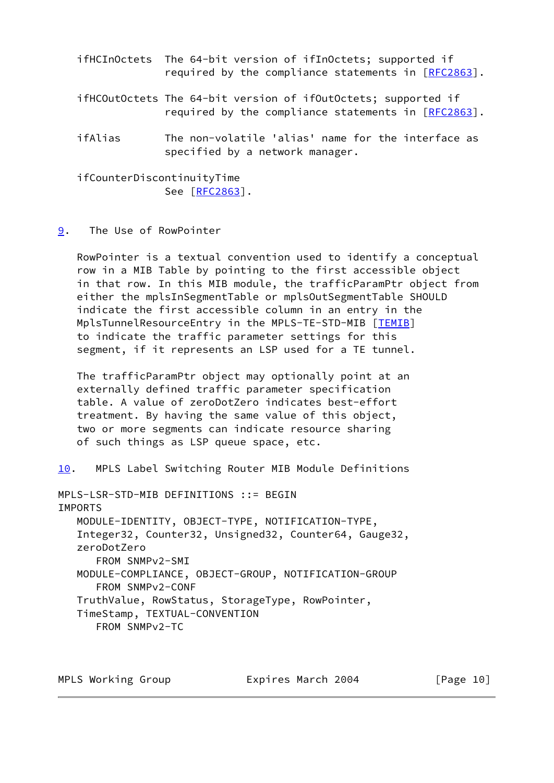- ifHCInOctets The 64-bit version of ifInOctets; supported if required by the compliance statements in [\[RFC2863](https://datatracker.ietf.org/doc/pdf/rfc2863)]. ifHCOutOctets The 64-bit version of ifOutOctets; supported if required by the compliance statements in [\[RFC2863](https://datatracker.ietf.org/doc/pdf/rfc2863)]. ifAlias The non-volatile 'alias' name for the interface as
- specified by a network manager.

 ifCounterDiscontinuityTime See [[RFC2863](https://datatracker.ietf.org/doc/pdf/rfc2863)].

## <span id="page-11-0"></span>[9](#page-11-0). The Use of RowPointer

 RowPointer is a textual convention used to identify a conceptual row in a MIB Table by pointing to the first accessible object in that row. In this MIB module, the trafficParamPtr object from either the mplsInSegmentTable or mplsOutSegmentTable SHOULD indicate the first accessible column in an entry in the MplsTunnelResourceEntry in the MPLS-TE-STD-MIB [\[TEMIB](#page-65-0)] to indicate the traffic parameter settings for this segment, if it represents an LSP used for a TE tunnel.

 The trafficParamPtr object may optionally point at an externally defined traffic parameter specification table. A value of zeroDotZero indicates best-effort treatment. By having the same value of this object, two or more segments can indicate resource sharing of such things as LSP queue space, etc.

<span id="page-11-1"></span>[10.](#page-11-1) MPLS Label Switching Router MIB Module Definitions

MPLS-LSR-STD-MIB DEFINITIONS ::= BEGIN IMPORTS MODULE-IDENTITY, OBJECT-TYPE, NOTIFICATION-TYPE, Integer32, Counter32, Unsigned32, Counter64, Gauge32, zeroDotZero FROM SNMPv2-SMI MODULE-COMPLIANCE, OBJECT-GROUP, NOTIFICATION-GROUP FROM SNMPv2-CONF TruthValue, RowStatus, StorageType, RowPointer, TimeStamp, TEXTUAL-CONVENTION FROM SNMPv2-TC

MPLS Working Group **Expires March 2004** [Page 10]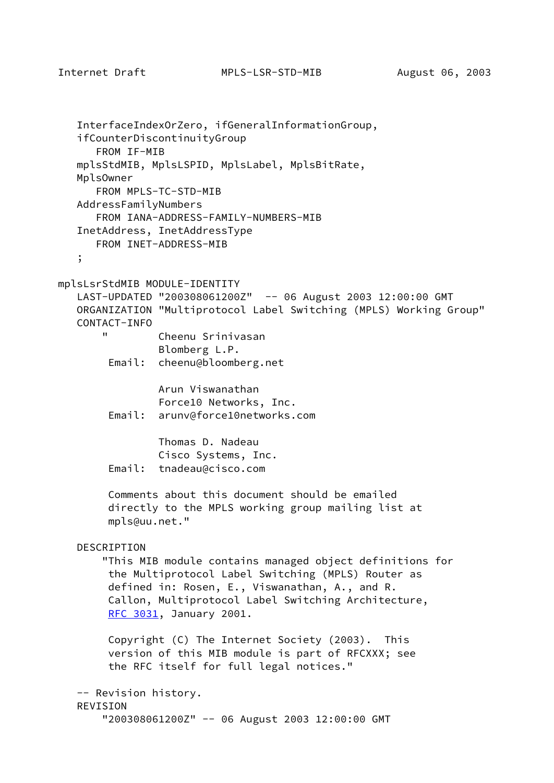```
 InterfaceIndexOrZero, ifGeneralInformationGroup,
    ifCounterDiscontinuityGroup
       FROM IF-MIB
    mplsStdMIB, MplsLSPID, MplsLabel, MplsBitRate,
    MplsOwner
       FROM MPLS-TC-STD-MIB
    AddressFamilyNumbers
       FROM IANA-ADDRESS-FAMILY-NUMBERS-MIB
    InetAddress, InetAddressType
       FROM INET-ADDRESS-MIB
    ;
mplsLsrStdMIB MODULE-IDENTITY
    LAST-UPDATED "200308061200Z" -- 06 August 2003 12:00:00 GMT
    ORGANIZATION "Multiprotocol Label Switching (MPLS) Working Group"
    CONTACT-INFO
                Cheenu Srinivasan
                 Blomberg L.P.
         Email: cheenu@bloomberg.net
                 Arun Viswanathan
                 Force10 Networks, Inc.
         Email: arunv@force10networks.com
                 Thomas D. Nadeau
                 Cisco Systems, Inc.
         Email: tnadeau@cisco.com
         Comments about this document should be emailed
         directly to the MPLS working group mailing list at
         mpls@uu.net."
    DESCRIPTION
        "This MIB module contains managed object definitions for
         the Multiprotocol Label Switching (MPLS) Router as
         defined in: Rosen, E., Viswanathan, A., and R.
         Callon, Multiprotocol Label Switching Architecture,
         RFC 3031, January 2001.
         Copyright (C) The Internet Society (2003). This
         version of this MIB module is part of RFCXXX; see
         the RFC itself for full legal notices."
    -- Revision history.
    REVISION
        "200308061200Z" -- 06 August 2003 12:00:00 GMT
```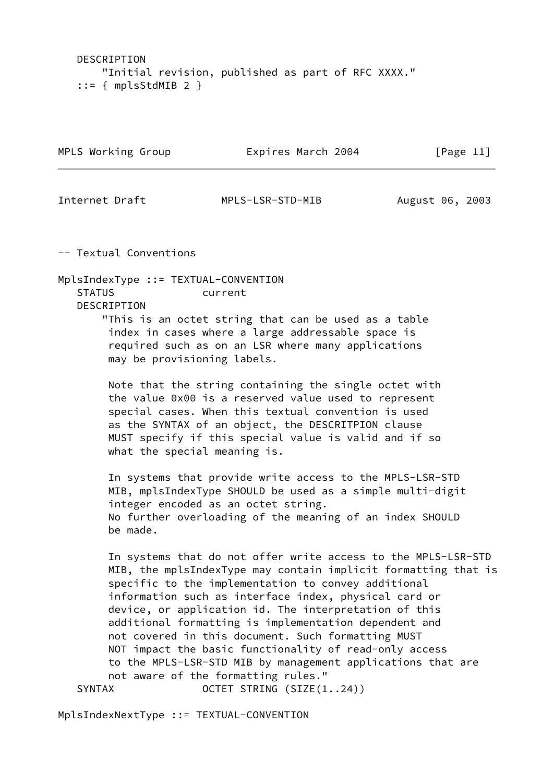DESCRIPTION "Initial revision, published as part of RFC XXXX."  $::=$  { mplsStdMIB 2 }

| MPLS Working Group | Expires March 2004 | [Page 11]       |  |  |
|--------------------|--------------------|-----------------|--|--|
| Internet Draft     | MPLS-LSR-STD-MIB   | August 06, 2003 |  |  |

-- Textual Conventions

MplsIndexType ::= TEXTUAL-CONVENTION STATUS current DESCRIPTION

 "This is an octet string that can be used as a table index in cases where a large addressable space is required such as on an LSR where many applications may be provisioning labels.

 Note that the string containing the single octet with the value 0x00 is a reserved value used to represent special cases. When this textual convention is used as the SYNTAX of an object, the DESCRITPION clause MUST specify if this special value is valid and if so what the special meaning is.

 In systems that provide write access to the MPLS-LSR-STD MIB, mplsIndexType SHOULD be used as a simple multi-digit integer encoded as an octet string. No further overloading of the meaning of an index SHOULD be made.

 In systems that do not offer write access to the MPLS-LSR-STD MIB, the mplsIndexType may contain implicit formatting that is specific to the implementation to convey additional information such as interface index, physical card or device, or application id. The interpretation of this additional formatting is implementation dependent and not covered in this document. Such formatting MUST NOT impact the basic functionality of read-only access to the MPLS-LSR-STD MIB by management applications that are not aware of the formatting rules." SYNTAX OCTET STRING (SIZE(1..24))

MplsIndexNextType ::= TEXTUAL-CONVENTION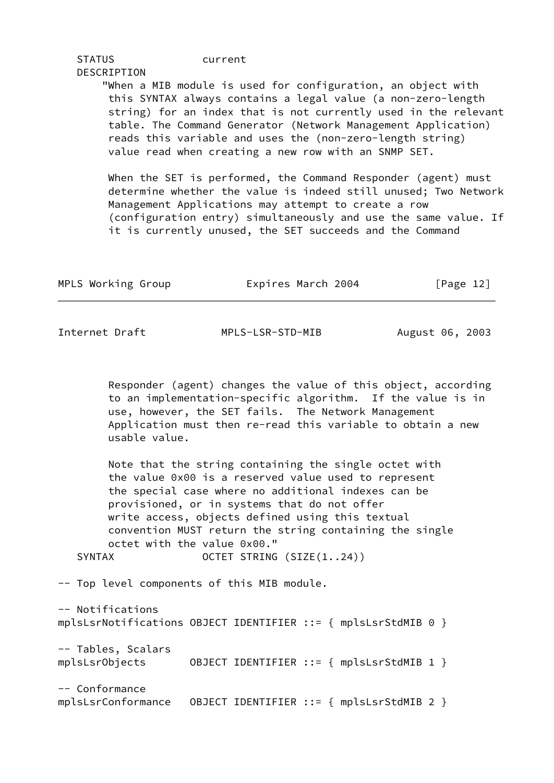| <b>STATUS</b> | current |                                                                                                                                                                                                                                                                                                                                                                                       |  |
|---------------|---------|---------------------------------------------------------------------------------------------------------------------------------------------------------------------------------------------------------------------------------------------------------------------------------------------------------------------------------------------------------------------------------------|--|
| DESCRIPTION   |         |                                                                                                                                                                                                                                                                                                                                                                                       |  |
|               |         | "When a MIB module is used for configuration, an object with<br>this SYNTAX always contains a legal value (a non-zero-length<br>string) for an index that is not currently used in the relevant<br>table. The Command Generator (Network Management Application)<br>reads this variable and uses the (non-zero-length string)<br>value read when creating a new row with an SNMP SET. |  |
|               |         | When the SET is performed, the Command Responder (agent) must<br>determine whether the value is indeed still unused; Two Network<br>Management Applications may attempt to create a row<br>(configuration entry) simultaneously and use the same value. If                                                                                                                            |  |

it is currently unused, the SET succeeds and the Command

| MPLS Working Group | Expires March 2004 |  | [Page 12] |  |
|--------------------|--------------------|--|-----------|--|
|                    |                    |  |           |  |

Internet Draft MPLS-LSR-STD-MIB August 06, 2003

 Responder (agent) changes the value of this object, according to an implementation-specific algorithm. If the value is in use, however, the SET fails. The Network Management Application must then re-read this variable to obtain a new usable value.

 Note that the string containing the single octet with the value 0x00 is a reserved value used to represent the special case where no additional indexes can be provisioned, or in systems that do not offer write access, objects defined using this textual convention MUST return the string containing the single octet with the value 0x00."

SYNTAX OCTET STRING (SIZE(1..24))

-- Top level components of this MIB module.

-- Notifications mplsLsrNotifications OBJECT IDENTIFIER ::= { mplsLsrStdMIB 0 } -- Tables, Scalars mplsLsrObjects OBJECT IDENTIFIER ::= { mplsLsrStdMIB 1 } -- Conformance mplsLsrConformance OBJECT IDENTIFIER ::= { mplsLsrStdMIB 2 }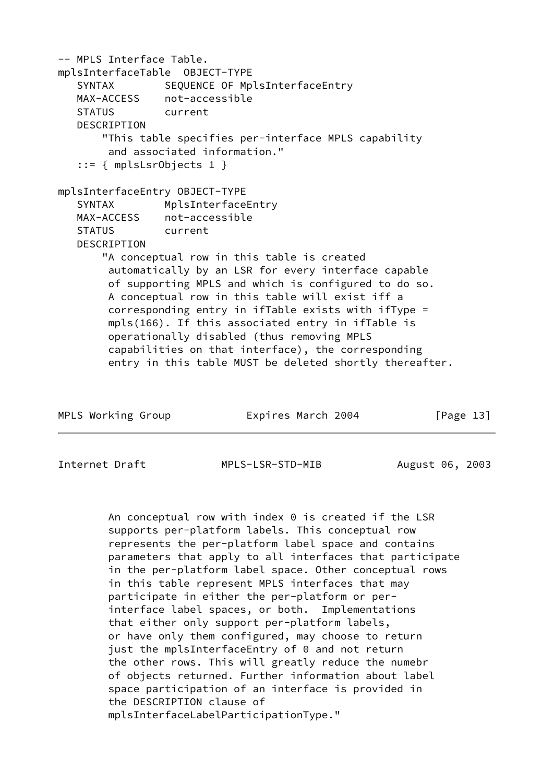-- MPLS Interface Table. mplsInterfaceTable OBJECT-TYPE SYNTAX SEQUENCE OF MplsInterfaceEntry MAX-ACCESS not-accessible STATUS current DESCRIPTION "This table specifies per-interface MPLS capability and associated information." ::= { mplsLsrObjects 1 } mplsInterfaceEntry OBJECT-TYPE SYNTAX MplsInterfaceEntry MAX-ACCESS not-accessible STATUS current DESCRIPTION "A conceptual row in this table is created automatically by an LSR for every interface capable of supporting MPLS and which is configured to do so. A conceptual row in this table will exist iff a corresponding entry in ifTable exists with ifType = mpls(166). If this associated entry in ifTable is operationally disabled (thus removing MPLS capabilities on that interface), the corresponding entry in this table MUST be deleted shortly thereafter.

|  | MPLS Working Group |  | Expires March 2004 |  |  | [Page 13] |  |
|--|--------------------|--|--------------------|--|--|-----------|--|
|--|--------------------|--|--------------------|--|--|-----------|--|

Internet Draft MPLS-LSR-STD-MIB August 06, 2003

 An conceptual row with index 0 is created if the LSR supports per-platform labels. This conceptual row represents the per-platform label space and contains parameters that apply to all interfaces that participate in the per-platform label space. Other conceptual rows in this table represent MPLS interfaces that may participate in either the per-platform or per interface label spaces, or both. Implementations that either only support per-platform labels, or have only them configured, may choose to return just the mplsInterfaceEntry of 0 and not return the other rows. This will greatly reduce the numebr of objects returned. Further information about label space participation of an interface is provided in the DESCRIPTION clause of mplsInterfaceLabelParticipationType."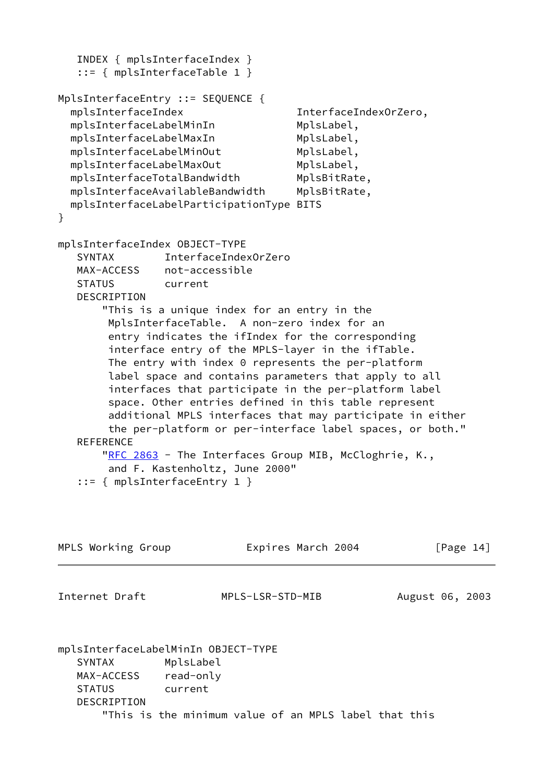```
 INDEX { mplsInterfaceIndex }
   ::= { mplsInterfaceTable 1 }
MplsInterfaceEntry ::= SEQUENCE {
  mplsInterfaceIndex InterfaceIndexOrZero,
 mplsInterfaceLabelMinIn MplsLabel,
 mplsInterfaceLabelMaxIn MplsLabel,
 mplsInterfaceLabelMinOut MplsLabel,
 mplsInterfaceLabelMaxOut MplsLabel,
 mplsInterfaceTotalBandwidth MplsBitRate,
  mplsInterfaceAvailableBandwidth MplsBitRate,
  mplsInterfaceLabelParticipationType BITS
}
mplsInterfaceIndex OBJECT-TYPE
   SYNTAX InterfaceIndexOrZero
   MAX-ACCESS not-accessible
   STATUS current
   DESCRIPTION
       "This is a unique index for an entry in the
        MplsInterfaceTable. A non-zero index for an
        entry indicates the ifIndex for the corresponding
        interface entry of the MPLS-layer in the ifTable.
        The entry with index 0 represents the per-platform
        label space and contains parameters that apply to all
        interfaces that participate in the per-platform label
        space. Other entries defined in this table represent
        additional MPLS interfaces that may participate in either
        the per-platform or per-interface label spaces, or both."
   REFERENCE
      "RFC 2863 - The Interfaces Group MIB, McCloghrie, K.,
        and F. Kastenholtz, June 2000"
    ::= { mplsInterfaceEntry 1 }
MPLS Working Group Expires March 2004 [Page 14]
Internet Draft MPLS-LSR-STD-MIB August 06, 2003
mplsInterfaceLabelMinIn OBJECT-TYPE
   SYNTAX MplsLabel
   MAX-ACCESS read-only
   STATUS current
   DESCRIPTION
       "This is the minimum value of an MPLS label that this
```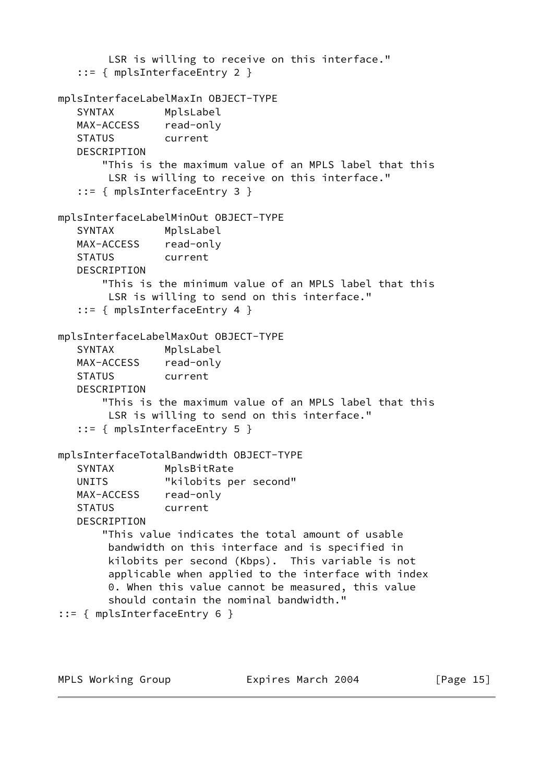```
 LSR is willing to receive on this interface."
    ::= { mplsInterfaceEntry 2 }
mplsInterfaceLabelMaxIn OBJECT-TYPE
   SYNTAX MplsLabel
   MAX-ACCESS read-only
   STATUS current
   DESCRIPTION
        "This is the maximum value of an MPLS label that this
        LSR is willing to receive on this interface."
    ::= { mplsInterfaceEntry 3 }
mplsInterfaceLabelMinOut OBJECT-TYPE
   SYNTAX MplsLabel
   MAX-ACCESS read-only
   STATUS current
   DESCRIPTION
        "This is the minimum value of an MPLS label that this
        LSR is willing to send on this interface."
    ::= { mplsInterfaceEntry 4 }
mplsInterfaceLabelMaxOut OBJECT-TYPE
    SYNTAX MplsLabel
   MAX-ACCESS read-only
   STATUS current
   DESCRIPTION
        "This is the maximum value of an MPLS label that this
        LSR is willing to send on this interface."
    ::= { mplsInterfaceEntry 5 }
mplsInterfaceTotalBandwidth OBJECT-TYPE
   SYNTAX MplsBitRate
   UNITS "kilobits per second"
   MAX-ACCESS read-only
   STATUS current
   DESCRIPTION
        "This value indicates the total amount of usable
        bandwidth on this interface and is specified in
        kilobits per second (Kbps). This variable is not
        applicable when applied to the interface with index
        0. When this value cannot be measured, this value
        should contain the nominal bandwidth."
::= { mplsInterfaceEntry 6 }
```
MPLS Working Group **Expires March 2004** [Page 15]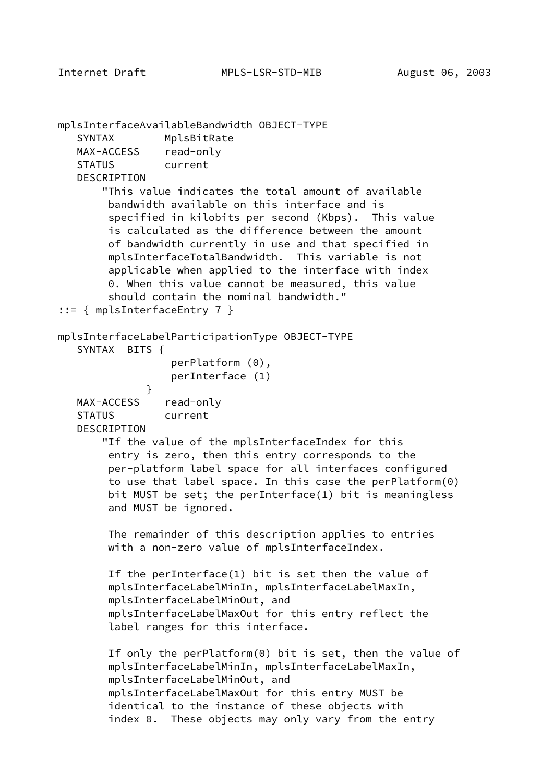mplsInterfaceAvailableBandwidth OBJECT-TYPE SYNTAX MplsBitRate MAX-ACCESS read-only STATUS current **DESCRIPTION**  "This value indicates the total amount of available bandwidth available on this interface and is specified in kilobits per second (Kbps). This value is calculated as the difference between the amount of bandwidth currently in use and that specified in mplsInterfaceTotalBandwidth. This variable is not applicable when applied to the interface with index 0. When this value cannot be measured, this value should contain the nominal bandwidth." ::= { mplsInterfaceEntry 7 } mplsInterfaceLabelParticipationType OBJECT-TYPE SYNTAX BITS { perPlatform (0), perInterface (1) } MAX-ACCESS read-only STATUS current DESCRIPTION "If the value of the mplsInterfaceIndex for this entry is zero, then this entry corresponds to the per-platform label space for all interfaces configured to use that label space. In this case the perPlatform(0) bit MUST be set; the perInterface(1) bit is meaningless and MUST be ignored. The remainder of this description applies to entries with a non-zero value of mplsInterfaceIndex. If the perInterface(1) bit is set then the value of mplsInterfaceLabelMinIn, mplsInterfaceLabelMaxIn, mplsInterfaceLabelMinOut, and mplsInterfaceLabelMaxOut for this entry reflect the label ranges for this interface. If only the perPlatform(0) bit is set, then the value of mplsInterfaceLabelMinIn, mplsInterfaceLabelMaxIn, mplsInterfaceLabelMinOut, and mplsInterfaceLabelMaxOut for this entry MUST be identical to the instance of these objects with index 0. These objects may only vary from the entry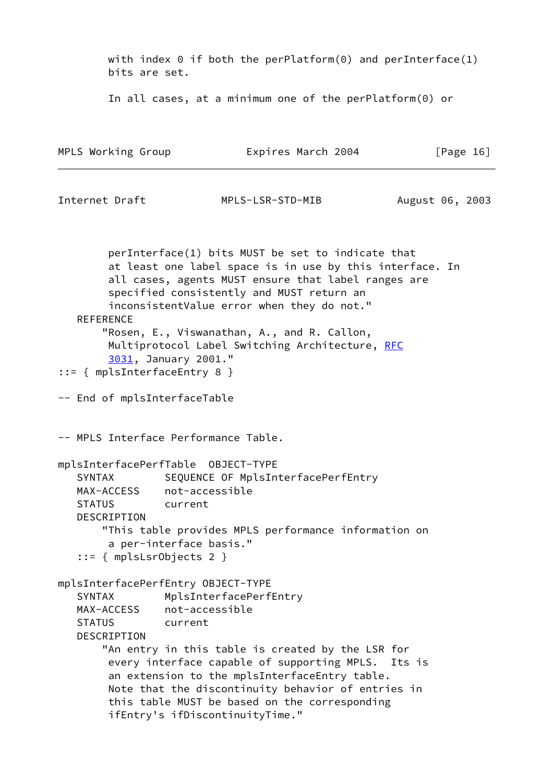with index  $\theta$  if both the perPlatform( $\theta$ ) and perInterface(1) bits are set. In all cases, at a minimum one of the perPlatform(0) or MPLS Working Group **Expires March 2004** [Page 16] Internet Draft MPLS-LSR-STD-MIB August 06, 2003 perInterface(1) bits MUST be set to indicate that at least one label space is in use by this interface. In all cases, agents MUST ensure that label ranges are specified consistently and MUST return an inconsistentValue error when they do not." REFERENCE "Rosen, E., Viswanathan, A., and R. Callon, Multiprotocol Label Switching Architecture, [RFC](https://datatracker.ietf.org/doc/pdf/rfc3031) [3031](https://datatracker.ietf.org/doc/pdf/rfc3031), January 2001." ::= { mplsInterfaceEntry 8 } -- End of mplsInterfaceTable -- MPLS Interface Performance Table. mplsInterfacePerfTable OBJECT-TYPE SYNTAX SEQUENCE OF MplsInterfacePerfEntry MAX-ACCESS not-accessible STATUS current DESCRIPTION "This table provides MPLS performance information on a per-interface basis." ::= { mplsLsrObjects 2 } mplsInterfacePerfEntry OBJECT-TYPE SYNTAX MplsInterfacePerfEntry MAX-ACCESS not-accessible STATUS current DESCRIPTION "An entry in this table is created by the LSR for every interface capable of supporting MPLS. Its is an extension to the mplsInterfaceEntry table. Note that the discontinuity behavior of entries in this table MUST be based on the corresponding ifEntry's ifDiscontinuityTime."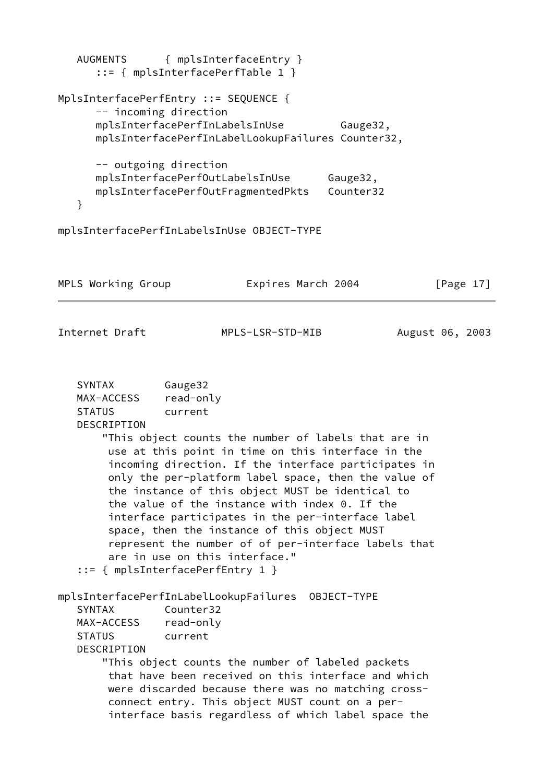AUGMENTS { mplsInterfaceEntry } ::= { mplsInterfacePerfTable 1 } MplsInterfacePerfEntry ::= SEQUENCE { -- incoming direction mplsInterfacePerfInLabelsInUse Gauge32, mplsInterfacePerfInLabelLookupFailures Counter32, -- outgoing direction mplsInterfacePerfOutLabelsInUse Gauge32, mplsInterfacePerfOutFragmentedPkts Counter32 } mplsInterfacePerfInLabelsInUse OBJECT-TYPE

| MPLS Working Group | Expires March 2004 | [Page 17] |  |
|--------------------|--------------------|-----------|--|
|                    |                    |           |  |

Internet Draft MPLS-LSR-STD-MIB August 06, 2003

| SYNTAX        | Gauge32   |
|---------------|-----------|
| MAX-ACCESS    | read-only |
| <b>STATUS</b> | current   |
| DESCRIPTION   |           |

 "This object counts the number of labels that are in use at this point in time on this interface in the incoming direction. If the interface participates in only the per-platform label space, then the value of the instance of this object MUST be identical to the value of the instance with index 0. If the interface participates in the per-interface label space, then the instance of this object MUST represent the number of of per-interface labels that are in use on this interface." ::= { mplsInterfacePerfEntry 1 }

mplsInterfacePerfInLabelLookupFailures OBJECT-TYPE

| <b>SYNTAX</b> | Counter32 |
|---------------|-----------|
| MAX-ACCESS    | read-only |
| <b>STATUS</b> | current   |
| DESCRIPTION   |           |

 "This object counts the number of labeled packets that have been received on this interface and which were discarded because there was no matching cross connect entry. This object MUST count on a per interface basis regardless of which label space the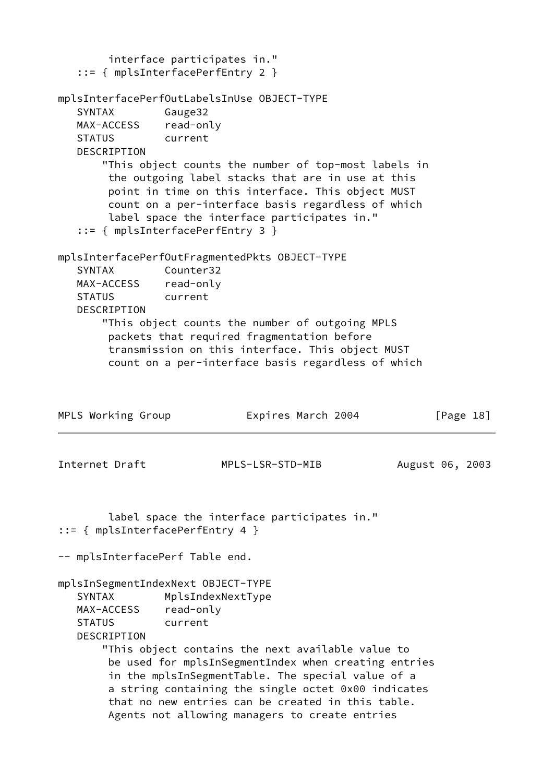```
 interface participates in."
    ::= { mplsInterfacePerfEntry 2 }
mplsInterfacePerfOutLabelsInUse OBJECT-TYPE
   SYNTAX Gauge32
   MAX-ACCESS read-only
   STATUS current
   DESCRIPTION
       "This object counts the number of top-most labels in
        the outgoing label stacks that are in use at this
        point in time on this interface. This object MUST
        count on a per-interface basis regardless of which
        label space the interface participates in."
    ::= { mplsInterfacePerfEntry 3 }
mplsInterfacePerfOutFragmentedPkts OBJECT-TYPE
    SYNTAX Counter32
   MAX-ACCESS read-only
   STATUS current
   DESCRIPTION
        "This object counts the number of outgoing MPLS
        packets that required fragmentation before
        transmission on this interface. This object MUST
        count on a per-interface basis regardless of which
MPLS Working Group Expires March 2004 [Page 18]
Internet Draft MPLS-LSR-STD-MIB August 06, 2003
        label space the interface participates in."
::= { mplsInterfacePerfEntry 4 }
-- mplsInterfacePerf Table end.
mplsInSegmentIndexNext OBJECT-TYPE
   SYNTAX MplsIndexNextType
   MAX-ACCESS read-only
   STATUS current
   DESCRIPTION
        "This object contains the next available value to
        be used for mplsInSegmentIndex when creating entries
        in the mplsInSegmentTable. The special value of a
        a string containing the single octet 0x00 indicates
        that no new entries can be created in this table.
        Agents not allowing managers to create entries
```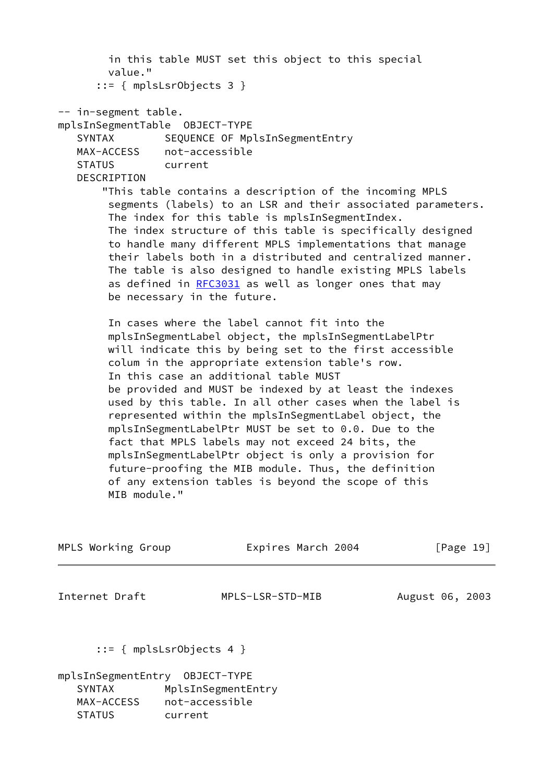in this table MUST set this object to this special value." ::= { mplsLsrObjects 3 } -- in-segment table. mplsInSegmentTable OBJECT-TYPE SYNTAX SEQUENCE OF MplsInSegmentEntry MAX-ACCESS not-accessible STATUS current **DESCRIPTION**  "This table contains a description of the incoming MPLS segments (labels) to an LSR and their associated parameters. The index for this table is mplsInSegmentIndex. The index structure of this table is specifically designed to handle many different MPLS implementations that manage their labels both in a distributed and centralized manner. The table is also designed to handle existing MPLS labels as defined in [RFC3031](https://datatracker.ietf.org/doc/pdf/rfc3031) as well as longer ones that may be necessary in the future. In cases where the label cannot fit into the mplsInSegmentLabel object, the mplsInSegmentLabelPtr will indicate this by being set to the first accessible colum in the appropriate extension table's row. In this case an additional table MUST be provided and MUST be indexed by at least the indexes used by this table. In all other cases when the label is represented within the mplsInSegmentLabel object, the mplsInSegmentLabelPtr MUST be set to 0.0. Due to the fact that MPLS labels may not exceed 24 bits, the mplsInSegmentLabelPtr object is only a provision for future-proofing the MIB module. Thus, the definition of any extension tables is beyond the scope of this MIB module." MPLS Working Group **Expires March 2004** [Page 19] Internet Draft MPLS-LSR-STD-MIB August 06, 2003 ::= { mplsLsrObjects 4 } mplsInSegmentEntry OBJECT-TYPE

SYNTAX MplsInSegmentEntry MAX-ACCESS not-accessible STATUS current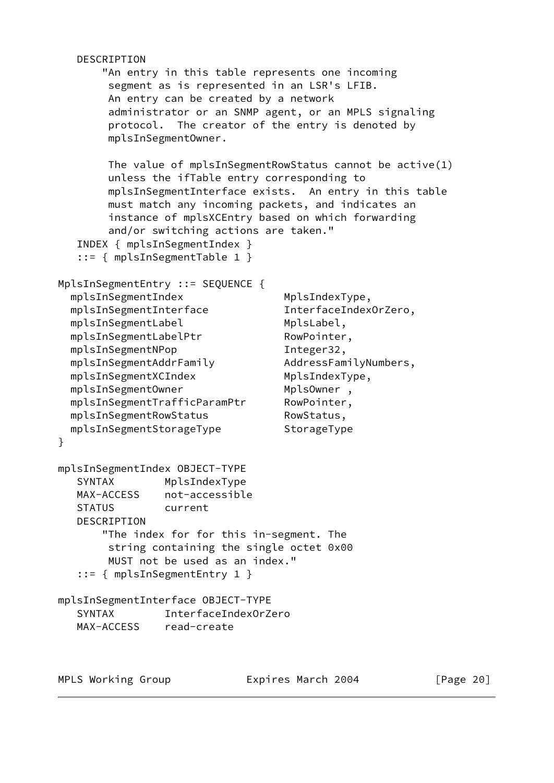```
 DESCRIPTION
       "An entry in this table represents one incoming
        segment as is represented in an LSR's LFIB.
        An entry can be created by a network
        administrator or an SNMP agent, or an MPLS signaling
        protocol. The creator of the entry is denoted by
        mplsInSegmentOwner.
        The value of mplsInSegmentRowStatus cannot be active(1)
        unless the ifTable entry corresponding to
        mplsInSegmentInterface exists. An entry in this table
        must match any incoming packets, and indicates an
        instance of mplsXCEntry based on which forwarding
        and/or switching actions are taken."
   INDEX { mplsInSegmentIndex }
   ::= { mplsInSegmentTable 1 }
MplsInSegmentEntry ::= SEQUENCE {
 mplsInSegmentIndex MplsIndexType,
  mplsInSegmentInterface InterfaceIndexOrZero,
 mplsInSegmentLabel MplsLabel,
 mplsInSegmentLabelPtr RowPointer,
 mplsInSegmentNPop Integer32,
  mplsInSegmentAddrFamily AddressFamilyNumbers,
 mplsInSegmentXCIndex MplsIndexType,
 mplsInSegmentOwner mplsOwner,
  mplsInSegmentTrafficParamPtr RowPointer,
 mplsInSegmentRowStatus RowStatus,
  mplsInSegmentStorageType StorageType
}
mplsInSegmentIndex OBJECT-TYPE
   SYNTAX MplsIndexType
   MAX-ACCESS not-accessible
   STATUS current
   DESCRIPTION
       "The index for for this in-segment. The
        string containing the single octet 0x00
        MUST not be used as an index."
   ::= { mplsInSegmentEntry 1 }
mplsInSegmentInterface OBJECT-TYPE
   SYNTAX InterfaceIndexOrZero
   MAX-ACCESS read-create
```
MPLS Working Group **Expires March 2004** [Page 20]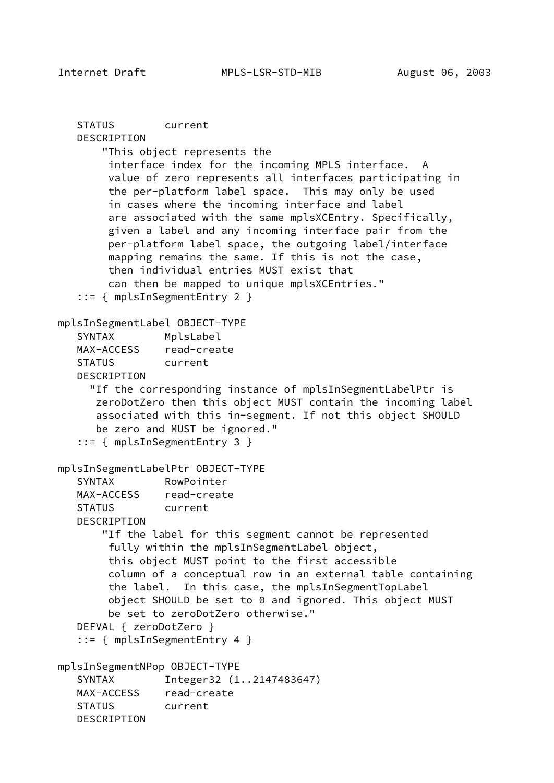STATUS current DESCRIPTION "This object represents the interface index for the incoming MPLS interface. A value of zero represents all interfaces participating in the per-platform label space. This may only be used in cases where the incoming interface and label are associated with the same mplsXCEntry. Specifically, given a label and any incoming interface pair from the per-platform label space, the outgoing label/interface mapping remains the same. If this is not the case, then individual entries MUST exist that can then be mapped to unique mplsXCEntries." ::= { mplsInSegmentEntry 2 } mplsInSegmentLabel OBJECT-TYPE SYNTAX MplsLabel MAX-ACCESS read-create STATUS current DESCRIPTION "If the corresponding instance of mplsInSegmentLabelPtr is zeroDotZero then this object MUST contain the incoming label associated with this in-segment. If not this object SHOULD be zero and MUST be ignored." ::= { mplsInSegmentEntry 3 } mplsInSegmentLabelPtr OBJECT-TYPE SYNTAX RowPointer MAX-ACCESS read-create STATUS current DESCRIPTION "If the label for this segment cannot be represented fully within the mplsInSegmentLabel object, this object MUST point to the first accessible column of a conceptual row in an external table containing the label. In this case, the mplsInSegmentTopLabel object SHOULD be set to 0 and ignored. This object MUST be set to zeroDotZero otherwise." DEFVAL { zeroDotZero } ::= { mplsInSegmentEntry 4 } mplsInSegmentNPop OBJECT-TYPE SYNTAX Integer32 (1..2147483647) MAX-ACCESS read-create STATUS current DESCRIPTION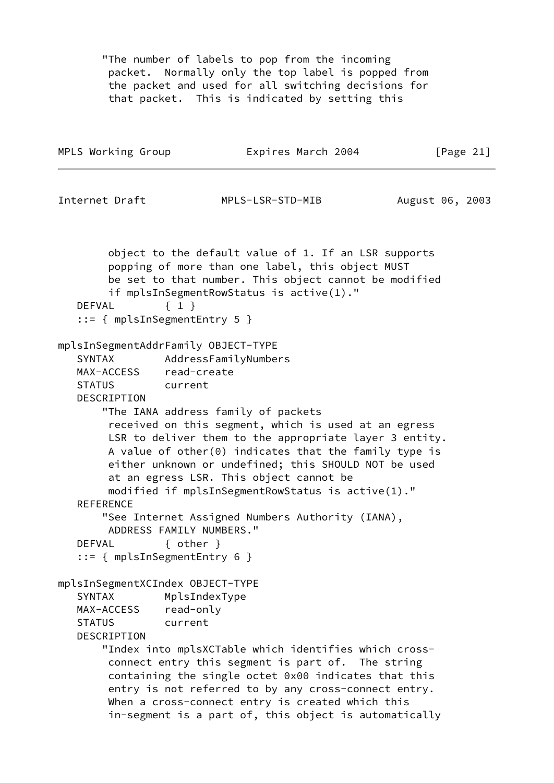"The number of labels to pop from the incoming packet. Normally only the top label is popped from the packet and used for all switching decisions for that packet. This is indicated by setting this

| MPLS Working Group                                                                                                                                                                                                                | Expires March 2004                                                                                                                                                                                                                                                                                                                                                                                                                                    | [Page $21$ ]    |
|-----------------------------------------------------------------------------------------------------------------------------------------------------------------------------------------------------------------------------------|-------------------------------------------------------------------------------------------------------------------------------------------------------------------------------------------------------------------------------------------------------------------------------------------------------------------------------------------------------------------------------------------------------------------------------------------------------|-----------------|
| Internet Draft                                                                                                                                                                                                                    | MPLS-LSR-STD-MIB                                                                                                                                                                                                                                                                                                                                                                                                                                      | August 06, 2003 |
| $\{1\}$<br>DEFVAL<br>$::=$ { mplsInSegmentEntry 5 }                                                                                                                                                                               | object to the default value of 1. If an LSR supports<br>popping of more than one label, this object MUST<br>be set to that number. This object cannot be modified<br>if mplsInSegmentRowStatus is active(1)."                                                                                                                                                                                                                                         |                 |
| mplsInSegmentAddrFamily OBJECT-TYPE<br>SYNTAX<br>MAX-ACCESS read-create<br><b>STATUS</b><br>current<br>DESCRIPTION<br><b>REFERENCE</b><br>ADDRESS FAMILY NUMBERS."<br>$\{$ other $\}$<br>DEFVAL<br>$::=$ { mplsInSegmentEntry 6 } | AddressFamilyNumbers<br>"The IANA address family of packets<br>received on this segment, which is used at an egress<br>LSR to deliver them to the appropriate layer 3 entity.<br>A value of other $(0)$ indicates that the family type is<br>either unknown or undefined; this SHOULD NOT be used<br>at an egress LSR. This object cannot be<br>modified if mplsInSegmentRowStatus is active(1)."<br>"See Internet Assigned Numbers Authority (IANA), |                 |
| mplsInSegmentXCIndex OBJECT-TYPE<br>SYNTAX<br>read-only<br>MAX-ACCESS<br><b>STATUS</b><br>current<br>DESCRIPTION                                                                                                                  | MplsIndexType<br>"Index into mplsXCTable which identifies which cross-<br>connect entry this segment is part of. The string<br>containing the single octet 0x00 indicates that this<br>entry is not referred to by any cross-connect entry.<br>When a cross-connect entry is created which this<br>in-segment is a part of, this object is automatically                                                                                              |                 |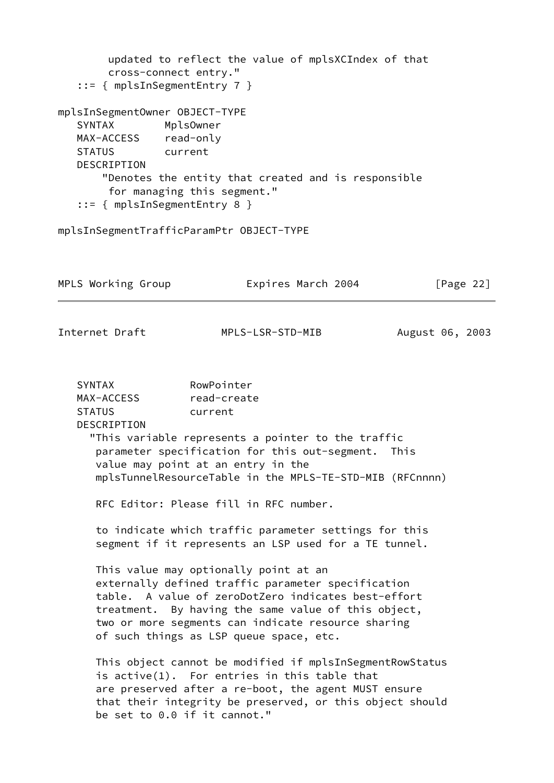updated to reflect the value of mplsXCIndex of that cross-connect entry." ::= { mplsInSegmentEntry 7 } mplsInSegmentOwner OBJECT-TYPE SYNTAX MplsOwner MAX-ACCESS read-only STATUS current DESCRIPTION "Denotes the entity that created and is responsible for managing this segment." ::= { mplsInSegmentEntry 8 } mplsInSegmentTrafficParamPtr OBJECT-TYPE MPLS Working Group **Expires March 2004** [Page 22] Internet Draft MPLS-LSR-STD-MIB August 06, 2003 SYNTAX RowPointer MAX-ACCESS read-create STATUS current DESCRIPTION "This variable represents a pointer to the traffic parameter specification for this out-segment. This value may point at an entry in the mplsTunnelResourceTable in the MPLS-TE-STD-MIB (RFCnnnn) RFC Editor: Please fill in RFC number. to indicate which traffic parameter settings for this segment if it represents an LSP used for a TE tunnel. This value may optionally point at an externally defined traffic parameter specification table. A value of zeroDotZero indicates best-effort treatment. By having the same value of this object, two or more segments can indicate resource sharing of such things as LSP queue space, etc. This object cannot be modified if mplsInSegmentRowStatus is active(1). For entries in this table that are preserved after a re-boot, the agent MUST ensure that their integrity be preserved, or this object should be set to 0.0 if it cannot."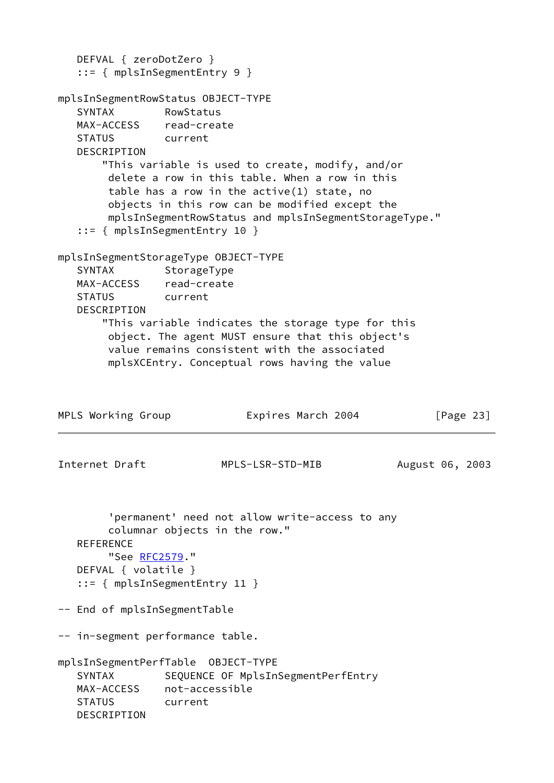```
 DEFVAL { zeroDotZero }
   ::= { mplsInSegmentEntry 9 }
mplsInSegmentRowStatus OBJECT-TYPE
   SYNTAX RowStatus
   MAX-ACCESS read-create
   STATUS current
   DESCRIPTION
       "This variable is used to create, modify, and/or
        delete a row in this table. When a row in this
        table has a row in the active(1) state, no
        objects in this row can be modified except the
        mplsInSegmentRowStatus and mplsInSegmentStorageType."
    ::= { mplsInSegmentEntry 10 }
mplsInSegmentStorageType OBJECT-TYPE
  SYNTAX StorageType
   MAX-ACCESS read-create
   STATUS current
   DESCRIPTION
       "This variable indicates the storage type for this
        object. The agent MUST ensure that this object's
        value remains consistent with the associated
        mplsXCEntry. Conceptual rows having the value
MPLS Working Group Expires March 2004 [Page 23]
Internet Draft MPLS-LSR-STD-MIB August 06, 2003
        'permanent' need not allow write-access to any
        columnar objects in the row."
  REFERENCE
        RFC2579."
   DEFVAL { volatile }
    ::= { mplsInSegmentEntry 11 }
-- End of mplsInSegmentTable
-- in-segment performance table.
mplsInSegmentPerfTable OBJECT-TYPE
   SYNTAX SEQUENCE OF MplsInSegmentPerfEntry
   MAX-ACCESS not-accessible
   STATUS current
   DESCRIPTION
```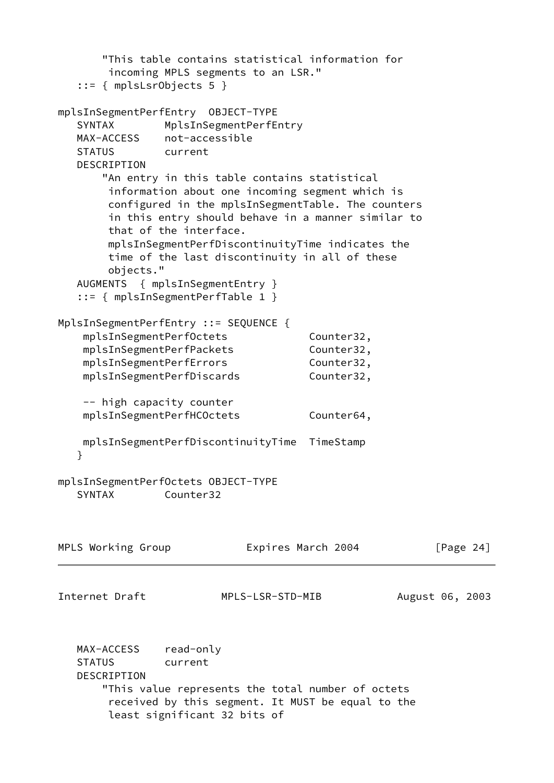"This table contains statistical information for incoming MPLS segments to an LSR." ::= { mplsLsrObjects 5 } mplsInSegmentPerfEntry OBJECT-TYPE SYNTAX MplsInSegmentPerfEntry MAX-ACCESS not-accessible STATUS current DESCRIPTION "An entry in this table contains statistical information about one incoming segment which is configured in the mplsInSegmentTable. The counters in this entry should behave in a manner similar to that of the interface. mplsInSegmentPerfDiscontinuityTime indicates the time of the last discontinuity in all of these objects." AUGMENTS { mplsInSegmentEntry } ::= { mplsInSegmentPerfTable 1 } MplsInSegmentPerfEntry ::= SEQUENCE { mplsInSegmentPerfOctets Counter32, mplsInSegmentPerfPackets Counter32, mplsInSegmentPerfErrors Counter32, mplsInSegmentPerfDiscards Counter32, -- high capacity counter mplsInSegmentPerfHCOctets Counter64, mplsInSegmentPerfDiscontinuityTime TimeStamp } mplsInSegmentPerfOctets OBJECT-TYPE SYNTAX Counter32 MPLS Working Group **Expires March 2004** [Page 24] Internet Draft MPLS-LSR-STD-MIB August 06, 2003 MAX-ACCESS read-only STATUS current DESCRIPTION "This value represents the total number of octets received by this segment. It MUST be equal to the least significant 32 bits of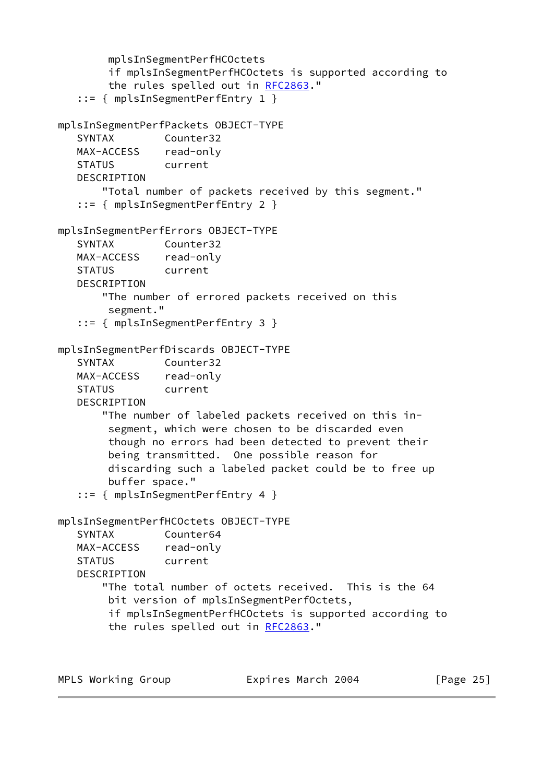```
 mplsInSegmentPerfHCOctets
        if mplsInSegmentPerfHCOctets is supported according to
        RFC2863."
    ::= { mplsInSegmentPerfEntry 1 }
mplsInSegmentPerfPackets OBJECT-TYPE
   SYNTAX Counter32
   MAX-ACCESS read-only
   STATUS current
  DESCRIPTION
       "Total number of packets received by this segment."
    ::= { mplsInSegmentPerfEntry 2 }
mplsInSegmentPerfErrors OBJECT-TYPE
   SYNTAX Counter32
   MAX-ACCESS read-only
   STATUS current
   DESCRIPTION
       "The number of errored packets received on this
        segment."
    ::= { mplsInSegmentPerfEntry 3 }
mplsInSegmentPerfDiscards OBJECT-TYPE
   SYNTAX Counter32
   MAX-ACCESS read-only
   STATUS current
   DESCRIPTION
       "The number of labeled packets received on this in-
        segment, which were chosen to be discarded even
        though no errors had been detected to prevent their
        being transmitted. One possible reason for
        discarding such a labeled packet could be to free up
        buffer space."
    ::= { mplsInSegmentPerfEntry 4 }
mplsInSegmentPerfHCOctets OBJECT-TYPE
   SYNTAX Counter64
   MAX-ACCESS read-only
   STATUS current
   DESCRIPTION
       "The total number of octets received. This is the 64
        bit version of mplsInSegmentPerfOctets,
        if mplsInSegmentPerfHCOctets is supported according to
        RFC2863."
```

| MPLS Working Group | Expires March 2004 | [Page 25] |
|--------------------|--------------------|-----------|
|--------------------|--------------------|-----------|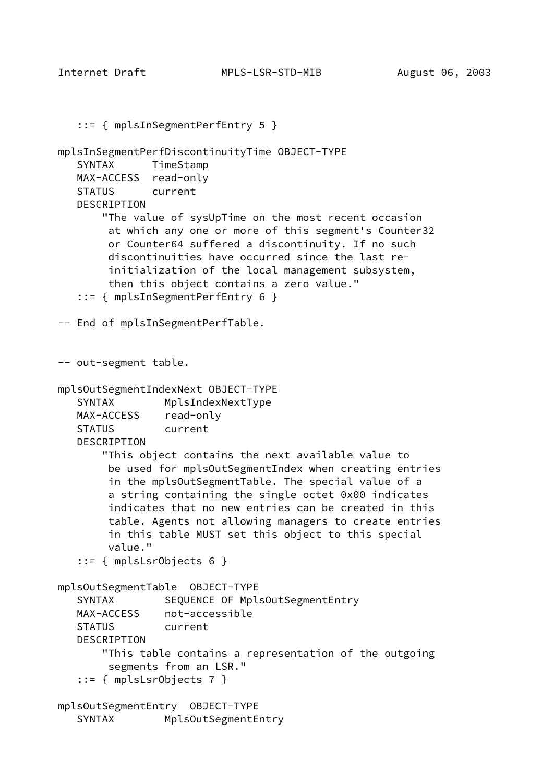Internet Draft MPLS-LSR-STD-MIB August 06, 2003

```
 ::= { mplsInSegmentPerfEntry 5 }
mplsInSegmentPerfDiscontinuityTime OBJECT-TYPE
    SYNTAX TimeStamp
   MAX-ACCESS read-only
    STATUS current
    DESCRIPTION
        "The value of sysUpTime on the most recent occasion
         at which any one or more of this segment's Counter32
         or Counter64 suffered a discontinuity. If no such
         discontinuities have occurred since the last re-
         initialization of the local management subsystem,
         then this object contains a zero value."
    ::= { mplsInSegmentPerfEntry 6 }
-- End of mplsInSegmentPerfTable.
-- out-segment table.
mplsOutSegmentIndexNext OBJECT-TYPE
    SYNTAX MplsIndexNextType
   MAX-ACCESS read-only
    STATUS current
    DESCRIPTION
        "This object contains the next available value to
        be used for mplsOutSegmentIndex when creating entries
         in the mplsOutSegmentTable. The special value of a
         a string containing the single octet 0x00 indicates
         indicates that no new entries can be created in this
         table. Agents not allowing managers to create entries
         in this table MUST set this object to this special
         value."
    ::= { mplsLsrObjects 6 }
mplsOutSegmentTable OBJECT-TYPE
   SYNTAX SEQUENCE OF MplsOutSegmentEntry
   MAX-ACCESS not-accessible
    STATUS current
    DESCRIPTION
        "This table contains a representation of the outgoing
         segments from an LSR."
    ::= { mplsLsrObjects 7 }
mplsOutSegmentEntry OBJECT-TYPE
   SYNTAX MplsOutSegmentEntry
```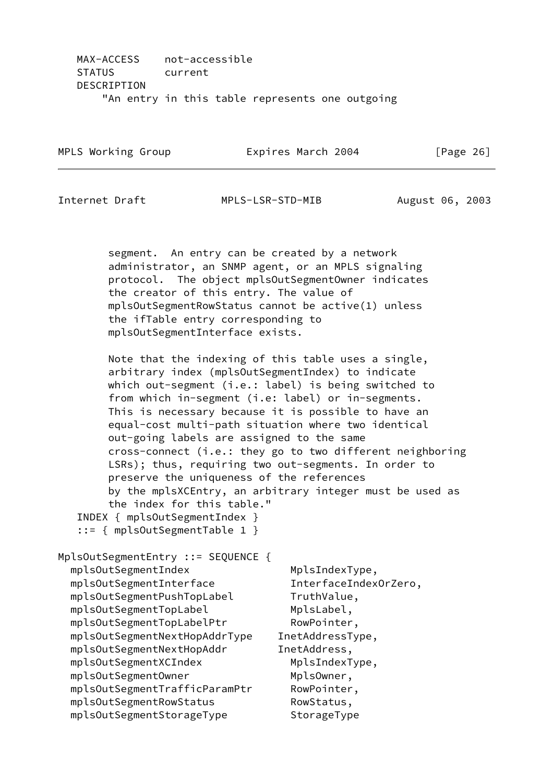| MPLS Working Group | Expires March 2004 |  | [Page 26] |  |
|--------------------|--------------------|--|-----------|--|
|                    |                    |  |           |  |

Internet Draft MPLS-LSR-STD-MIB August 06, 2003

 segment. An entry can be created by a network administrator, an SNMP agent, or an MPLS signaling protocol. The object mplsOutSegmentOwner indicates the creator of this entry. The value of mplsOutSegmentRowStatus cannot be active(1) unless the ifTable entry corresponding to mplsOutSegmentInterface exists.

 Note that the indexing of this table uses a single, arbitrary index (mplsOutSegmentIndex) to indicate which out-segment (i.e.: label) is being switched to from which in-segment (i.e: label) or in-segments. This is necessary because it is possible to have an equal-cost multi-path situation where two identical out-going labels are assigned to the same cross-connect (i.e.: they go to two different neighboring LSRs); thus, requiring two out-segments. In order to preserve the uniqueness of the references by the mplsXCEntry, an arbitrary integer must be used as the index for this table."

 INDEX { mplsOutSegmentIndex } ::= { mplsOutSegmentTable 1 }

```
MplsOutSegmentEntry ::= SEQUENCE {
 mplsOutSegmentIndex MplsIndexType,
  mplsOutSegmentInterface InterfaceIndexOrZero,
 mplsOutSegmentPushTopLabel TruthValue,
 mplsOutSegmentTopLabel MplsLabel,
 mplsOutSegmentTopLabelPtr RowPointer,
  mplsOutSegmentNextHopAddrType InetAddressType,
  mplsOutSegmentNextHopAddr InetAddress,
 mplsOutSegmentXCIndex MplsIndexType,
 mplsOutSegmentOwner MplsOwner,
  mplsOutSegmentTrafficParamPtr RowPointer,
 mplsOutSegmentRowStatus RowStatus,
 mplsOutSegmentStorageType StorageType
```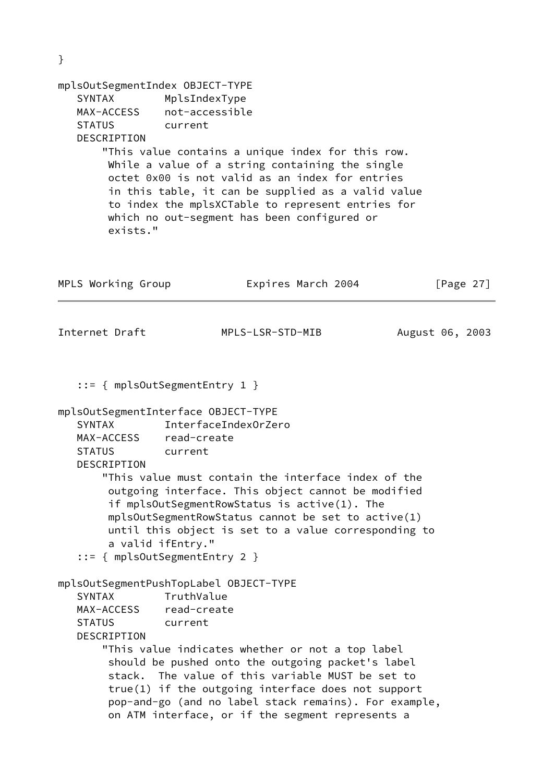| }                                                                                                                           |                                                                                                                                                                                                                                                                          |                                                                                                                                                                                                                                                                                                                                |                 |
|-----------------------------------------------------------------------------------------------------------------------------|--------------------------------------------------------------------------------------------------------------------------------------------------------------------------------------------------------------------------------------------------------------------------|--------------------------------------------------------------------------------------------------------------------------------------------------------------------------------------------------------------------------------------------------------------------------------------------------------------------------------|-----------------|
| mplsOutSegmentIndex OBJECT-TYPE<br><b>SYNTAX</b><br>MAX-ACCESS<br><b>STATUS</b><br>DESCRIPTION<br>exists."                  | MplsIndexType<br>not-accessible<br>current<br>which no out-segment has been configured or                                                                                                                                                                                | "This value contains a unique index for this row.<br>While a value of a string containing the single<br>octet 0x00 is not valid as an index for entries<br>in this table, it can be supplied as a valid value<br>to index the mplsXCTable to represent entries for                                                             |                 |
| MPLS Working Group                                                                                                          |                                                                                                                                                                                                                                                                          | Expires March 2004                                                                                                                                                                                                                                                                                                             | [Page $27$ ]    |
| Internet Draft                                                                                                              | MPLS-LSR-STD-MIB                                                                                                                                                                                                                                                         |                                                                                                                                                                                                                                                                                                                                | August 06, 2003 |
| <b>SYNTAX</b><br>MAX-ACCESS read-create<br><b>STATUS</b><br>DESCRIPTION<br>a valid ifEntry."<br><b>SYNTAX</b><br>MAX-ACCESS | $::= \{ mplsOutSegmentEntry 1 \}$<br>mplsOutSegmentInterface OBJECT-TYPE<br>InterfaceIndex0rZero<br>current<br>if mplsOutSegmentRowStatus is $active(1)$ . The<br>$::=$ { mplsOutSegmentEntry 2 }<br>mplsOutSegmentPushTopLabel OBJECT-TYPE<br>TruthValue<br>read-create | "This value must contain the interface index of the<br>outgoing interface. This object cannot be modified<br>mplsOutSegmentRowStatus cannot be set to active(1)<br>until this object is set to a value corresponding to                                                                                                        |                 |
| <b>STATUS</b><br>DESCRIPTION                                                                                                | current                                                                                                                                                                                                                                                                  | "This value indicates whether or not a top label<br>should be pushed onto the outgoing packet's label<br>stack. The value of this variable MUST be set to<br>$true(1)$ if the outgoing interface does not support<br>pop-and-go (and no label stack remains). For example,<br>on ATM interface, or if the segment represents a |                 |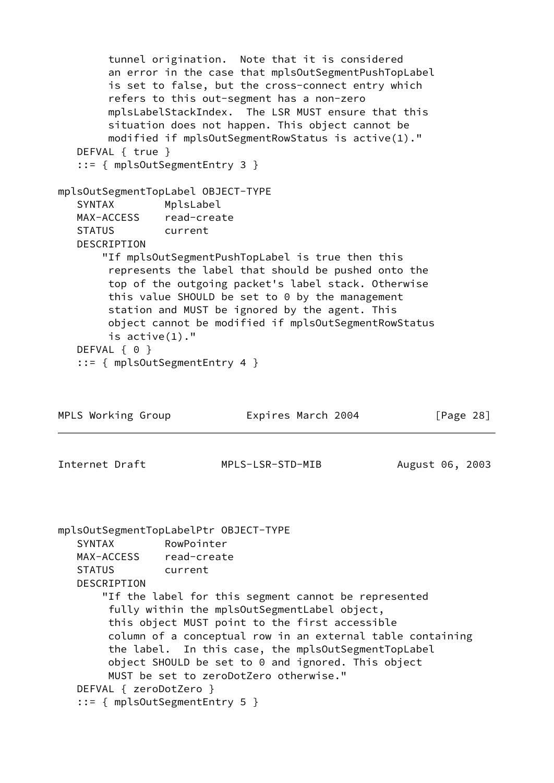```
 tunnel origination. Note that it is considered
        an error in the case that mplsOutSegmentPushTopLabel
        is set to false, but the cross-connect entry which
        refers to this out-segment has a non-zero
        mplsLabelStackIndex. The LSR MUST ensure that this
        situation does not happen. This object cannot be
        modified if mplsOutSegmentRowStatus is active(1)."
   DEFVAL { true }
    ::= { mplsOutSegmentEntry 3 }
mplsOutSegmentTopLabel OBJECT-TYPE
   SYNTAX MplsLabel
   MAX-ACCESS read-create
   STATUS current
   DESCRIPTION
       "If mplsOutSegmentPushTopLabel is true then this
        represents the label that should be pushed onto the
        top of the outgoing packet's label stack. Otherwise
        this value SHOULD be set to 0 by the management
        station and MUST be ignored by the agent. This
        object cannot be modified if mplsOutSegmentRowStatus
        is active(1)."
  DEFVAL { 0 }
    ::= { mplsOutSegmentEntry 4 }
MPLS Working Group Expires March 2004 [Page 28]
Internet Draft MPLS-LSR-STD-MIB August 06, 2003
mplsOutSegmentTopLabelPtr OBJECT-TYPE
   SYNTAX RowPointer
   MAX-ACCESS read-create
   STATUS current
   DESCRIPTION
       "If the label for this segment cannot be represented
        fully within the mplsOutSegmentLabel object,
        this object MUST point to the first accessible
        column of a conceptual row in an external table containing
        the label. In this case, the mplsOutSegmentTopLabel
        object SHOULD be set to 0 and ignored. This object
        MUST be set to zeroDotZero otherwise."
   DEFVAL { zeroDotZero }
    ::= { mplsOutSegmentEntry 5 }
```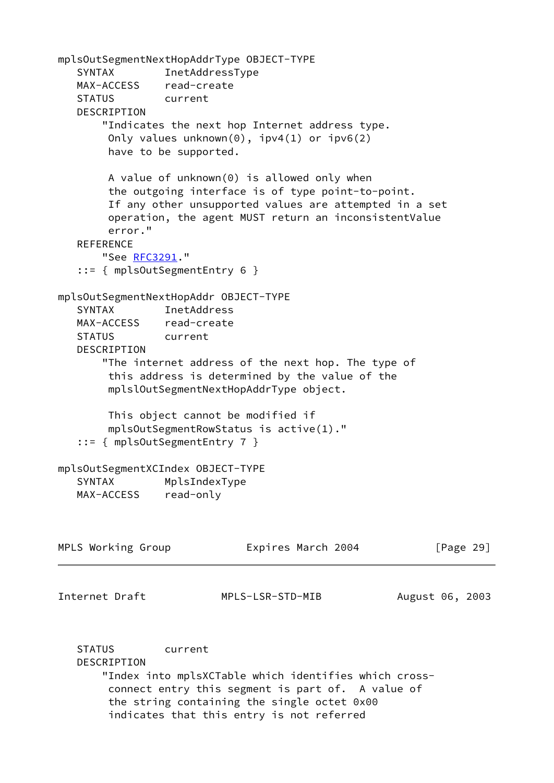mplsOutSegmentNextHopAddrType OBJECT-TYPE SYNTAX InetAddressType MAX-ACCESS read-create STATUS current DESCRIPTION "Indicates the next hop Internet address type. Only values unknown(0), ipv4(1) or ipv6(2) have to be supported. A value of unknown(0) is allowed only when the outgoing interface is of type point-to-point. If any other unsupported values are attempted in a set operation, the agent MUST return an inconsistentValue error." **REFERENCE**  "See [RFC3291](https://datatracker.ietf.org/doc/pdf/rfc3291)." ::= { mplsOutSegmentEntry 6 } mplsOutSegmentNextHopAddr OBJECT-TYPE SYNTAX InetAddress MAX-ACCESS read-create STATUS current DESCRIPTION "The internet address of the next hop. The type of this address is determined by the value of the mplslOutSegmentNextHopAddrType object. This object cannot be modified if mplsOutSegmentRowStatus is active(1)." ::= { mplsOutSegmentEntry 7 } mplsOutSegmentXCIndex OBJECT-TYPE SYNTAX MplsIndexType MAX-ACCESS read-only MPLS Working Group **Expires March 2004** [Page 29] Internet Draft MPLS-LSR-STD-MIB August 06, 2003 STATUS current DESCRIPTION "Index into mplsXCTable which identifies which cross connect entry this segment is part of. A value of the string containing the single octet 0x00 indicates that this entry is not referred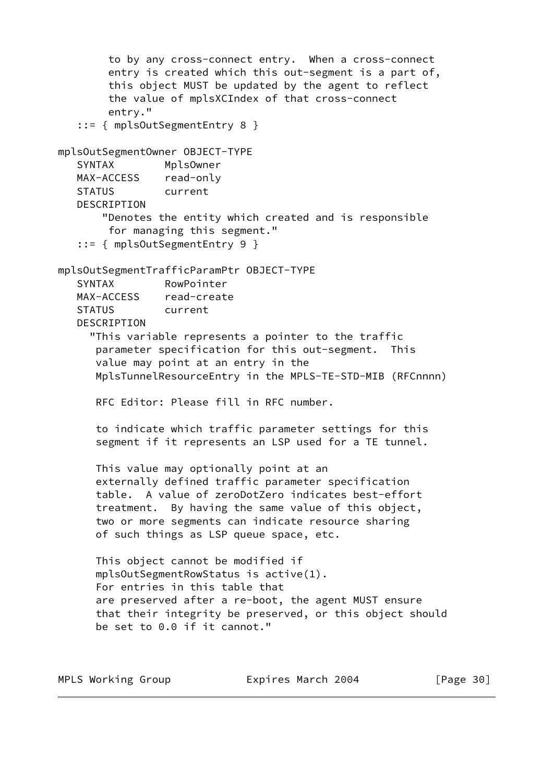to by any cross-connect entry. When a cross-connect entry is created which this out-segment is a part of, this object MUST be updated by the agent to reflect the value of mplsXCIndex of that cross-connect entry." ::= { mplsOutSegmentEntry 8 } mplsOutSegmentOwner OBJECT-TYPE SYNTAX MplsOwner MAX-ACCESS read-only STATUS current DESCRIPTION "Denotes the entity which created and is responsible for managing this segment." ::= { mplsOutSegmentEntry 9 } mplsOutSegmentTrafficParamPtr OBJECT-TYPE SYNTAX RowPointer MAX-ACCESS read-create STATUS current DESCRIPTION "This variable represents a pointer to the traffic parameter specification for this out-segment. This value may point at an entry in the MplsTunnelResourceEntry in the MPLS-TE-STD-MIB (RFCnnnn) RFC Editor: Please fill in RFC number. to indicate which traffic parameter settings for this segment if it represents an LSP used for a TE tunnel. This value may optionally point at an externally defined traffic parameter specification table. A value of zeroDotZero indicates best-effort treatment. By having the same value of this object, two or more segments can indicate resource sharing of such things as LSP queue space, etc. This object cannot be modified if mplsOutSegmentRowStatus is active(1). For entries in this table that are preserved after a re-boot, the agent MUST ensure that their integrity be preserved, or this object should be set to 0.0 if it cannot."

| MPLS Working Group | Expires March 2004 | [Page 30] |
|--------------------|--------------------|-----------|
|--------------------|--------------------|-----------|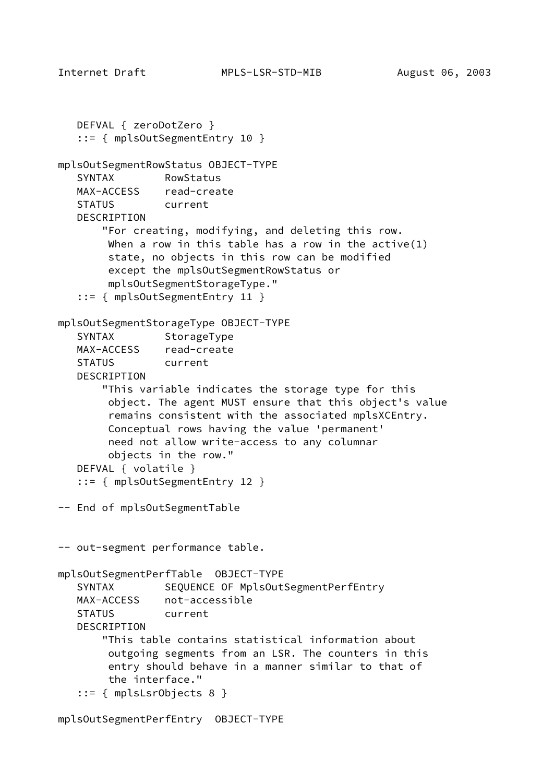```
 DEFVAL { zeroDotZero }
    ::= { mplsOutSegmentEntry 10 }
mplsOutSegmentRowStatus OBJECT-TYPE
   SYNTAX RowStatus
   MAX-ACCESS read-create
   STATUS current
   DESCRIPTION
        "For creating, modifying, and deleting this row.
       When a row in this table has a row in the active(1) state, no objects in this row can be modified
         except the mplsOutSegmentRowStatus or
        mplsOutSegmentStorageType."
    ::= { mplsOutSegmentEntry 11 }
mplsOutSegmentStorageType OBJECT-TYPE
  SYNTAX StorageType
  MAX-ACCESS read-create
   STATUS current
   DESCRIPTION
        "This variable indicates the storage type for this
         object. The agent MUST ensure that this object's value
         remains consistent with the associated mplsXCEntry.
        Conceptual rows having the value 'permanent'
        need not allow write-access to any columnar
        objects in the row."
   DEFVAL { volatile }
    ::= { mplsOutSegmentEntry 12 }
-- End of mplsOutSegmentTable
-- out-segment performance table.
mplsOutSegmentPerfTable OBJECT-TYPE
  SYNTAX SEQUENCE OF MplsOutSegmentPerfEntry
   MAX-ACCESS not-accessible
   STATUS current
   DESCRIPTION
        "This table contains statistical information about
        outgoing segments from an LSR. The counters in this
        entry should behave in a manner similar to that of
        the interface."
    ::= { mplsLsrObjects 8 }
```
mplsOutSegmentPerfEntry OBJECT-TYPE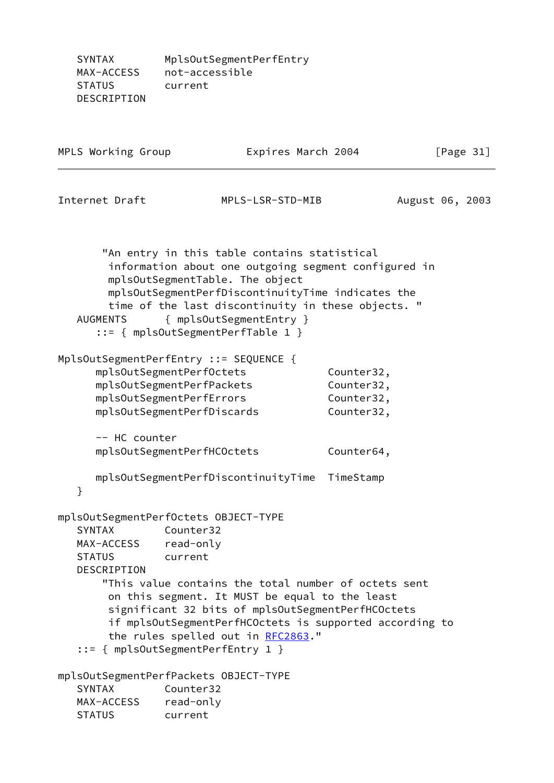SYNTAX MplsOutSegmentPerfEntry MAX-ACCESS not-accessible STATUS current DESCRIPTION

| MPLS Working Group                                             |                                                                                                                                                                                                                                                                                                                                                                   | Expires March 2004                                   | [Page $31$ ]    |
|----------------------------------------------------------------|-------------------------------------------------------------------------------------------------------------------------------------------------------------------------------------------------------------------------------------------------------------------------------------------------------------------------------------------------------------------|------------------------------------------------------|-----------------|
| Internet Draft                                                 | MPLS-LSR-STD-MIB                                                                                                                                                                                                                                                                                                                                                  |                                                      | August 06, 2003 |
| <b>AUGMENTS</b>                                                | "An entry in this table contains statistical<br>information about one outgoing segment configured in<br>mplsOutSegmentTable. The object<br>mplsOutSegmentPerfDiscontinuityTime indicates the<br>time of the last discontinuity in these objects. "<br>{ mplsOutSegmentEntry }<br>::= { mplsOutSegmentPerfTable 1 }                                                |                                                      |                 |
| -- HC counter                                                  | MplsOutSegmentPerfEntry ::= SEQUENCE {<br>mplsOutSegmentPerfOctets<br>mplsOutSegmentPerfPackets<br>mplsOutSegmentPerfErrors<br>mplsOutSegmentPerfDiscards                                                                                                                                                                                                         | Counter32,<br>Counter32,<br>Counter32,<br>Counter32, |                 |
| }                                                              | mplsOutSegmentPerfHCOctets<br>mplsOutSegmentPerfDiscontinuityTime                                                                                                                                                                                                                                                                                                 | Counter64,<br>TimeStamp                              |                 |
| SYNTAX<br>MAX-ACCESS read-only<br><b>STATUS</b><br>DESCRIPTION | mplsOutSegmentPerfOctets OBJECT-TYPE<br>Counter32<br>current<br>"This value contains the total number of octets sent<br>on this segment. It MUST be equal to the least<br>significant 32 bits of mplsOutSegmentPerfHCOctets<br>if mplsOutSegmentPerfHCOctets is supported according to<br>the rules spelled out in RFC2863."<br>::= { mplsOutSegmentPerfEntry 1 } |                                                      |                 |
| <b>SYNTAX</b><br>MAX-ACCESS<br><b>STATUS</b>                   | mplsOutSegmentPerfPackets OBJECT-TYPE<br>Counter32<br>read-only<br>current                                                                                                                                                                                                                                                                                        |                                                      |                 |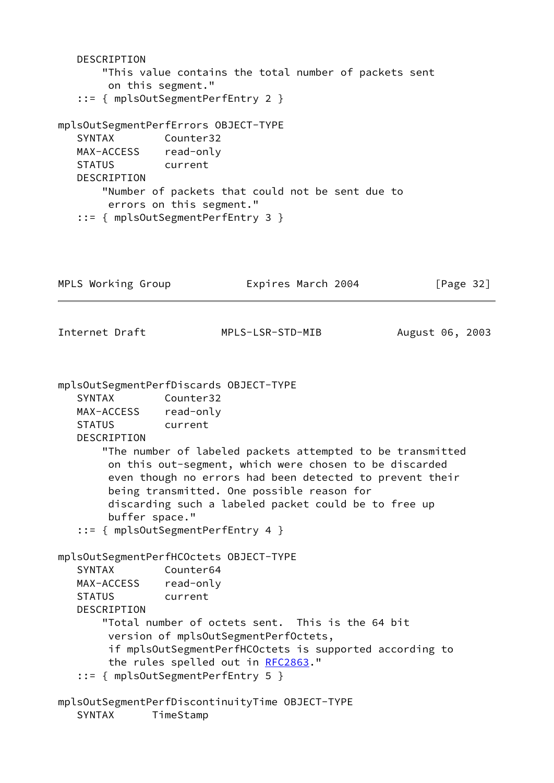DESCRIPTION "This value contains the total number of packets sent on this segment." ::= { mplsOutSegmentPerfEntry 2 } mplsOutSegmentPerfErrors OBJECT-TYPE SYNTAX Counter32 MAX-ACCESS read-only STATUS current DESCRIPTION "Number of packets that could not be sent due to errors on this segment." ::= { mplsOutSegmentPerfEntry 3 } MPLS Working Group **Expires March 2004** [Page 32] Internet Draft MPLS-LSR-STD-MIB August 06, 2003 mplsOutSegmentPerfDiscards OBJECT-TYPE SYNTAX Counter32 MAX-ACCESS read-only STATUS current DESCRIPTION "The number of labeled packets attempted to be transmitted on this out-segment, which were chosen to be discarded even though no errors had been detected to prevent their being transmitted. One possible reason for discarding such a labeled packet could be to free up buffer space." ::= { mplsOutSegmentPerfEntry 4 } mplsOutSegmentPerfHCOctets OBJECT-TYPE SYNTAX Counter64 MAX-ACCESS read-only STATUS current DESCRIPTION "Total number of octets sent. This is the 64 bit version of mplsOutSegmentPerfOctets, if mplsOutSegmentPerfHCOctets is supported according to the rules spelled out in [RFC2863](https://datatracker.ietf.org/doc/pdf/rfc2863)." ::= { mplsOutSegmentPerfEntry 5 } mplsOutSegmentPerfDiscontinuityTime OBJECT-TYPE SYNTAX TimeStamp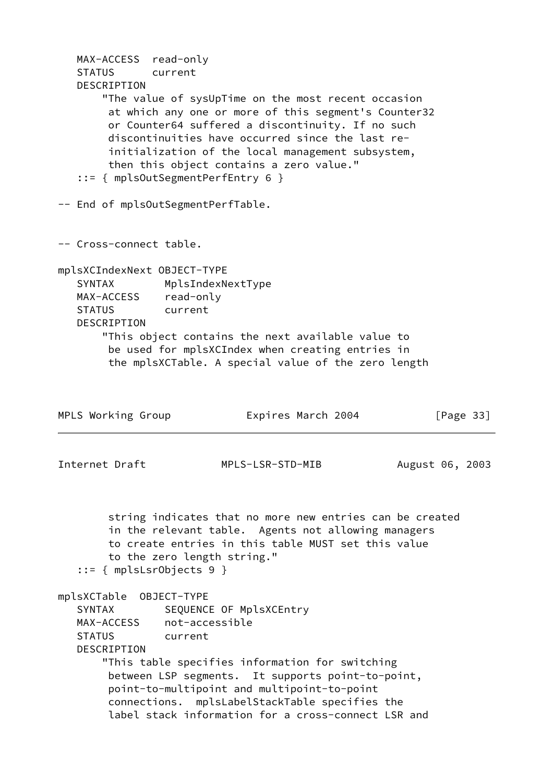MAX-ACCESS read-only STATUS current DESCRIPTION "The value of sysUpTime on the most recent occasion at which any one or more of this segment's Counter32 or Counter64 suffered a discontinuity. If no such discontinuities have occurred since the last re initialization of the local management subsystem, then this object contains a zero value." ::= { mplsOutSegmentPerfEntry 6 } -- End of mplsOutSegmentPerfTable. -- Cross-connect table. mplsXCIndexNext OBJECT-TYPE SYNTAX MplsIndexNextType MAX-ACCESS read-only STATUS current DESCRIPTION "This object contains the next available value to be used for mplsXCIndex when creating entries in the mplsXCTable. A special value of the zero length MPLS Working Group **Expires March 2004** [Page 33] Internet Draft MPLS-LSR-STD-MIB August 06, 2003 string indicates that no more new entries can be created in the relevant table. Agents not allowing managers to create entries in this table MUST set this value to the zero length string." ::= { mplsLsrObjects 9 } mplsXCTable OBJECT-TYPE SYNTAX SEQUENCE OF MplsXCEntry MAX-ACCESS not-accessible STATUS current DESCRIPTION "This table specifies information for switching between LSP segments. It supports point-to-point, point-to-multipoint and multipoint-to-point connections. mplsLabelStackTable specifies the label stack information for a cross-connect LSR and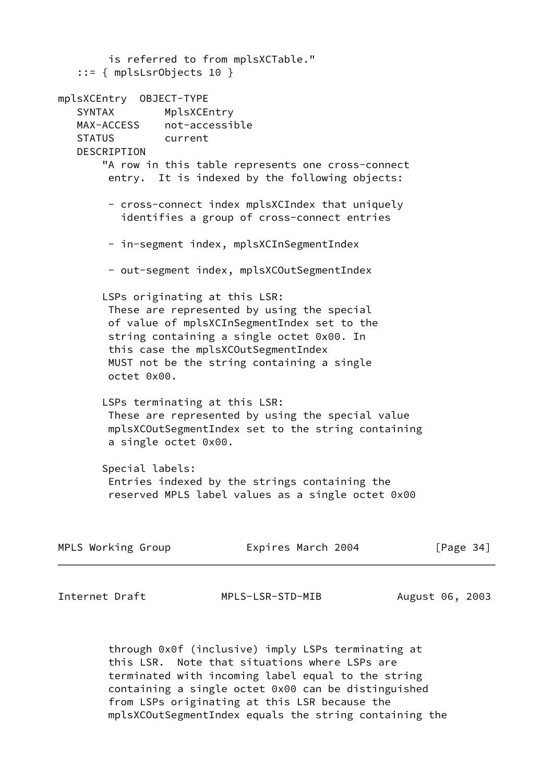is referred to from mplsXCTable." ::= { mplsLsrObjects 10 } mplsXCEntry OBJECT-TYPE SYNTAX MplsXCEntry MAX-ACCESS not-accessible STATUS current DESCRIPTION "A row in this table represents one cross-connect entry. It is indexed by the following objects: - cross-connect index mplsXCIndex that uniquely identifies a group of cross-connect entries - in-segment index, mplsXCInSegmentIndex - out-segment index, mplsXCOutSegmentIndex LSPs originating at this LSR: These are represented by using the special of value of mplsXCInSegmentIndex set to the string containing a single octet 0x00. In this case the mplsXCOutSegmentIndex MUST not be the string containing a single octet 0x00. LSPs terminating at this LSR: These are represented by using the special value mplsXCOutSegmentIndex set to the string containing a single octet 0x00. Special labels: Entries indexed by the strings containing the reserved MPLS label values as a single octet 0x00

| Expires March 2004<br>MPLS Working Group | [Page $34$ ] |
|------------------------------------------|--------------|
|------------------------------------------|--------------|

Internet Draft MPLS-LSR-STD-MIB August 06, 2003

 through 0x0f (inclusive) imply LSPs terminating at this LSR. Note that situations where LSPs are terminated with incoming label equal to the string containing a single octet 0x00 can be distinguished from LSPs originating at this LSR because the mplsXCOutSegmentIndex equals the string containing the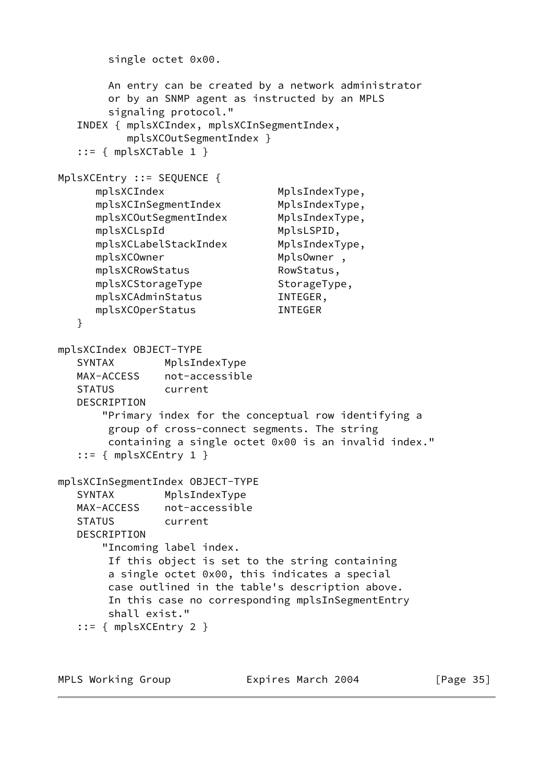```
 single octet 0x00.
        An entry can be created by a network administrator
        or by an SNMP agent as instructed by an MPLS
        signaling protocol."
   INDEX { mplsXCIndex, mplsXCInSegmentIndex,
           mplsXCOutSegmentIndex }
   ::= { mplsXCTable 1 }
MplsXCEntry ::= SEQUENCE {
     mplsXCIndex MplsIndexType,
     mplsXCInSegmentIndex MplsIndexType,
     mplsXCOutSegmentIndex MplsIndexType,
      mplsXCLspId MplsLSPID,
     mplsXCLabelStackIndex MplsIndexType,
     mplsXCOwner MplsOwner,
     mplsXCRowStatus RowStatus,
     mplsXCStorageType StorageType,
      mplsXCAdminStatus INTEGER,
      mplsXCOperStatus INTEGER
   }
mplsXCIndex OBJECT-TYPE
   SYNTAX MplsIndexType
   MAX-ACCESS not-accessible
   STATUS current
   DESCRIPTION
       "Primary index for the conceptual row identifying a
        group of cross-connect segments. The string
        containing a single octet 0x00 is an invalid index."
   ::= { mplsXCEntry 1 }
mplsXCInSegmentIndex OBJECT-TYPE
   SYNTAX MplsIndexType
   MAX-ACCESS not-accessible
   STATUS current
   DESCRIPTION
       "Incoming label index.
        If this object is set to the string containing
        a single octet 0x00, this indicates a special
        case outlined in the table's description above.
        In this case no corresponding mplsInSegmentEntry
        shall exist."
   ::= { mplsXCEntry 2 }
```
MPLS Working Group **Expires March 2004** [Page 35]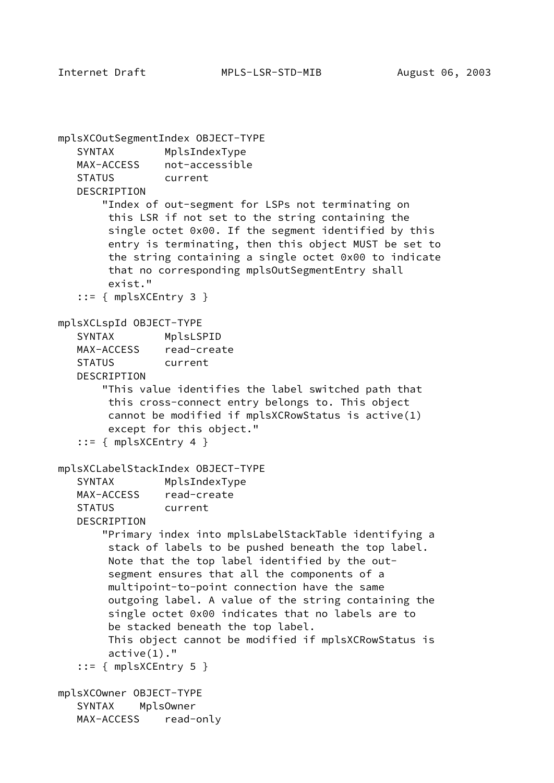```
mplsXCOutSegmentIndex OBJECT-TYPE
    SYNTAX MplsIndexType
   MAX-ACCESS not-accessible
    STATUS current
    DESCRIPTION
        "Index of out-segment for LSPs not terminating on
         this LSR if not set to the string containing the
         single octet 0x00. If the segment identified by this
         entry is terminating, then this object MUST be set to
         the string containing a single octet 0x00 to indicate
         that no corresponding mplsOutSegmentEntry shall
         exist."
    ::= { mplsXCEntry 3 }
mplsXCLspId OBJECT-TYPE
    SYNTAX MplsLSPID
   MAX-ACCESS read-create
    STATUS current
    DESCRIPTION
        "This value identifies the label switched path that
         this cross-connect entry belongs to. This object
         cannot be modified if mplsXCRowStatus is active(1)
         except for this object."
   ::= { mplsXCEntry 4 }
mplsXCLabelStackIndex OBJECT-TYPE
    SYNTAX MplsIndexType
   MAX-ACCESS read-create
    STATUS current
    DESCRIPTION
        "Primary index into mplsLabelStackTable identifying a
         stack of labels to be pushed beneath the top label.
         Note that the top label identified by the out-
         segment ensures that all the components of a
         multipoint-to-point connection have the same
         outgoing label. A value of the string containing the
         single octet 0x00 indicates that no labels are to
         be stacked beneath the top label.
        This object cannot be modified if mplsXCRowStatus is
         active(1)."
   ::= { mplsXCEntry 5 }
mplsXCOwner OBJECT-TYPE
    SYNTAX MplsOwner
    MAX-ACCESS read-only
```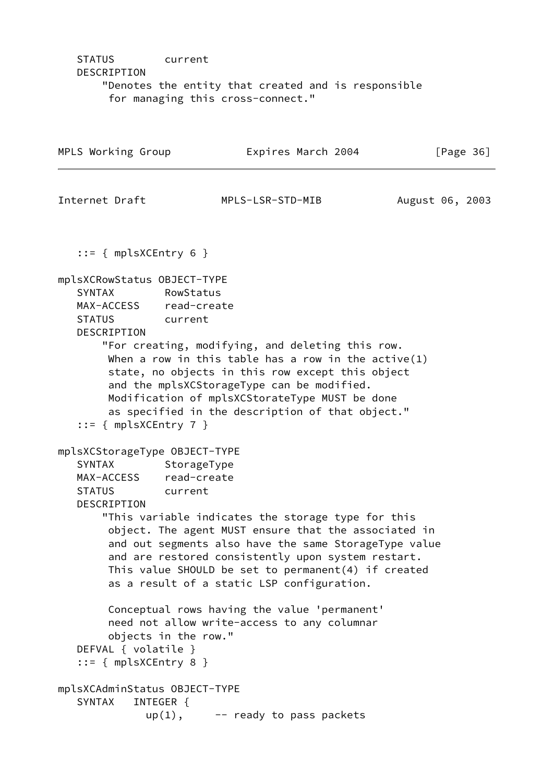# STATUS current DESCRIPTION "Denotes the entity that created and is responsible for managing this cross-connect."

| MPLS Working Group                                                                                                                |                        | Expires March 2004                                                                                                                                                                                                                                                                                                                |                 | [Page $36$ ] |
|-----------------------------------------------------------------------------------------------------------------------------------|------------------------|-----------------------------------------------------------------------------------------------------------------------------------------------------------------------------------------------------------------------------------------------------------------------------------------------------------------------------------|-----------------|--------------|
| Internet Draft                                                                                                                    |                        | MPLS-LSR-STD-MIB                                                                                                                                                                                                                                                                                                                  | August 06, 2003 |              |
| $::=$ { mplsXCEntry 6 }                                                                                                           |                        |                                                                                                                                                                                                                                                                                                                                   |                 |              |
| mplsXCRowStatus OBJECT-TYPE<br><b>SYNTAX</b><br>MAX-ACCESS read-create<br><b>STATUS</b><br>DESCRIPTION<br>$::=$ { mplsXCEntry 7 } | RowStatus<br>current   | "For creating, modifying, and deleting this row.<br>When a row in this table has a row in the active $(1)$<br>state, no objects in this row except this object<br>and the mplsXCStorageType can be modified.<br>Modification of mplsXCStorateType MUST be done<br>as specified in the description of that object."                |                 |              |
| mplsXCStorageType OBJECT-TYPE<br>SYNTAX<br>MAX-ACCESS read-create<br><b>STATUS</b><br>DESCRIPTION                                 | StorageType<br>current | "This variable indicates the storage type for this<br>object. The agent MUST ensure that the associated in<br>and out segments also have the same StorageType value<br>and are restored consistently upon system restart.<br>This value SHOULD be set to permanent $(4)$ if created<br>as a result of a static LSP configuration. |                 |              |
| DEFVAL { volatile }<br>$::=$ { mplsXCEntry 8 }                                                                                    | objects in the row."   | Conceptual rows having the value 'permanent'<br>need not allow write-access to any columnar                                                                                                                                                                                                                                       |                 |              |
| mplsXCAdminStatus OBJECT-TYPE<br><b>SYNTAX</b>                                                                                    | INTEGER {<br>$up(1)$ , | -- ready to pass packets                                                                                                                                                                                                                                                                                                          |                 |              |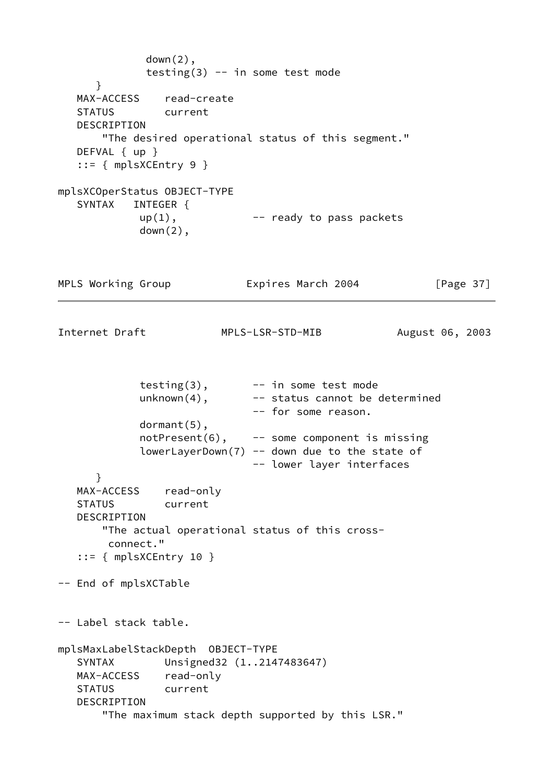```
 down(2),
             testing(3) -- in some test mode
      }
   MAX-ACCESS read-create
   STATUS current
   DESCRIPTION
       "The desired operational status of this segment."
  DEFVAL { up }
   ::= { mplsXCEntry 9 }
mplsXCOperStatus OBJECT-TYPE
   SYNTAX INTEGER {
           up(1), -- ready to pass packets
            down(2),
MPLS Working Group Expires March 2004 [Page 37]
Internet Draft MPLS-LSR-STD-MIB August 06, 2003
            testing(3), - in some test mode
           unknown(4), --- status cannot be determined
                             -- for some reason.
            dormant(5),
            notPresent(6), -- some component is missing
           lowerLayerDown(7) -- down due to the state of
                             -- lower layer interfaces
      }
   MAX-ACCESS read-only
   STATUS current
   DESCRIPTION
       "The actual operational status of this cross-
        connect."
  ::= { mplsXCEntry 10 }
-- End of mplsXCTable
-- Label stack table.
mplsMaxLabelStackDepth OBJECT-TYPE
   SYNTAX Unsigned32 (1..2147483647)
   MAX-ACCESS read-only
   STATUS current
   DESCRIPTION
       "The maximum stack depth supported by this LSR."
```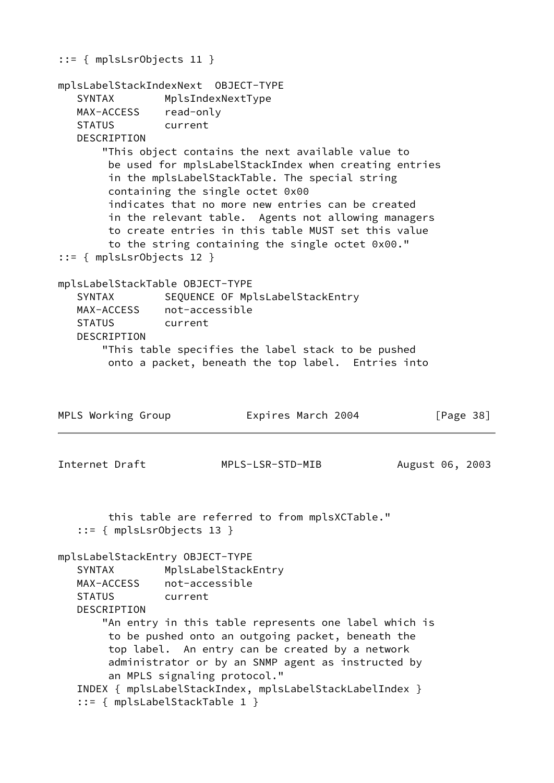```
::= { mplsLsrObjects 11 }
mplsLabelStackIndexNext OBJECT-TYPE
    SYNTAX MplsIndexNextType
   MAX-ACCESS read-only
   STATUS current
   DESCRIPTION
       "This object contains the next available value to
        be used for mplsLabelStackIndex when creating entries
        in the mplsLabelStackTable. The special string
        containing the single octet 0x00
        indicates that no more new entries can be created
        in the relevant table. Agents not allowing managers
        to create entries in this table MUST set this value
        to the string containing the single octet 0x00."
::= { mplsLsrObjects 12 }
mplsLabelStackTable OBJECT-TYPE
  SYNTAX SEQUENCE OF MplsLabelStackEntry
   MAX-ACCESS not-accessible
   STATUS current
   DESCRIPTION
       "This table specifies the label stack to be pushed
        onto a packet, beneath the top label. Entries into
MPLS Working Group Expires March 2004 [Page 38]
Internet Draft MPLS-LSR-STD-MIB August 06, 2003
        this table are referred to from mplsXCTable."
    ::= { mplsLsrObjects 13 }
mplsLabelStackEntry OBJECT-TYPE
  SYNTAX MplsLabelStackEntry
   MAX-ACCESS not-accessible
   STATUS current
   DESCRIPTION
       "An entry in this table represents one label which is
        to be pushed onto an outgoing packet, beneath the
        top label. An entry can be created by a network
        administrator or by an SNMP agent as instructed by
        an MPLS signaling protocol."
   INDEX { mplsLabelStackIndex, mplsLabelStackLabelIndex }
    ::= { mplsLabelStackTable 1 }
```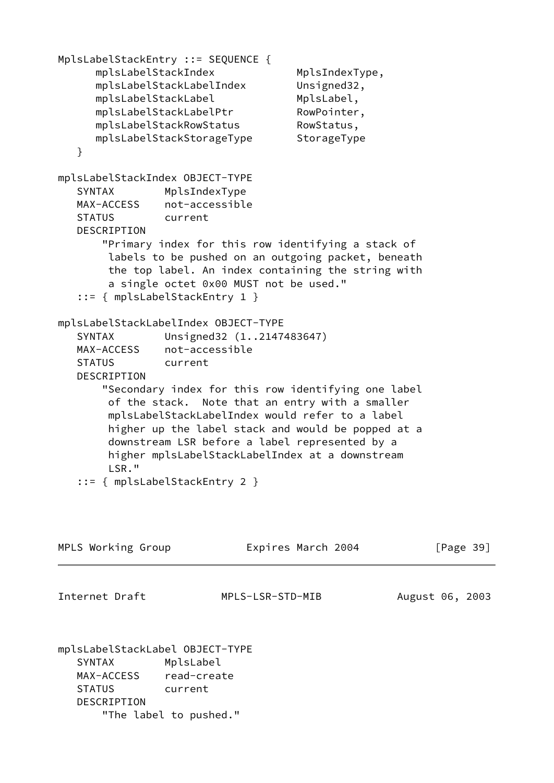```
MplsLabelStackEntry ::= SEQUENCE {
     mplsLabelStackIndex MplsIndexType,
      mplsLabelStackLabelIndex Unsigned32,
     mplsLabelStackLabel MplsLabel,
     mplsLabelStackLabelPtr RowPointer,
     mplsLabelStackRowStatus RowStatus,
      mplsLabelStackStorageType StorageType
   }
mplsLabelStackIndex OBJECT-TYPE
   SYNTAX MplsIndexType
   MAX-ACCESS not-accessible
   STATUS current
   DESCRIPTION
       "Primary index for this row identifying a stack of
        labels to be pushed on an outgoing packet, beneath
        the top label. An index containing the string with
        a single octet 0x00 MUST not be used."
   ::= { mplsLabelStackEntry 1 }
mplsLabelStackLabelIndex OBJECT-TYPE
   SYNTAX Unsigned32 (1..2147483647)
   MAX-ACCESS not-accessible
   STATUS current
   DESCRIPTION
       "Secondary index for this row identifying one label
        of the stack. Note that an entry with a smaller
        mplsLabelStackLabelIndex would refer to a label
        higher up the label stack and would be popped at a
        downstream LSR before a label represented by a
        higher mplsLabelStackLabelIndex at a downstream
        LSR."
   ::= { mplsLabelStackEntry 2 }
MPLS Working Group Expires March 2004 [Page 39]
Internet Draft MPLS-LSR-STD-MIB August 06, 2003
mplsLabelStackLabel OBJECT-TYPE
   SYNTAX MplsLabel
   MAX-ACCESS read-create
   STATUS current
   DESCRIPTION
       "The label to pushed."
```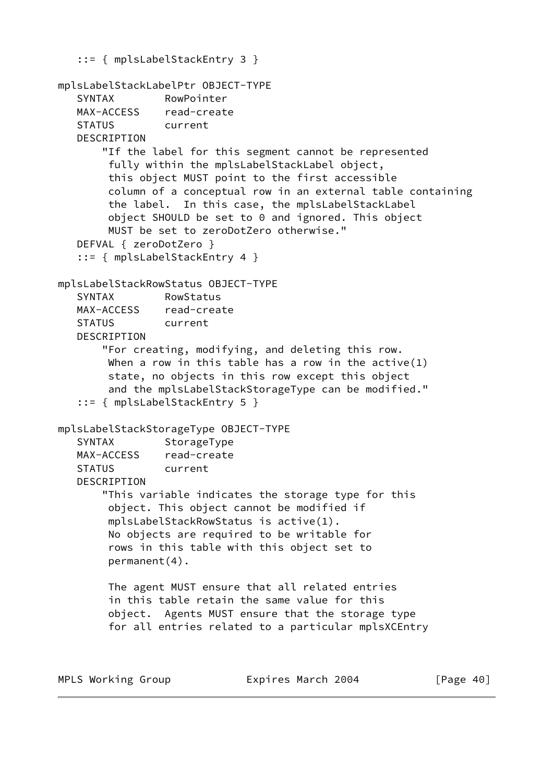```
 ::= { mplsLabelStackEntry 3 }
mplsLabelStackLabelPtr OBJECT-TYPE
    SYNTAX RowPointer
    MAX-ACCESS read-create
    STATUS current
    DESCRIPTION
        "If the label for this segment cannot be represented
         fully within the mplsLabelStackLabel object,
         this object MUST point to the first accessible
         column of a conceptual row in an external table containing
         the label. In this case, the mplsLabelStackLabel
         object SHOULD be set to 0 and ignored. This object
         MUST be set to zeroDotZero otherwise."
    DEFVAL { zeroDotZero }
    ::= { mplsLabelStackEntry 4 }
mplsLabelStackRowStatus OBJECT-TYPE
    SYNTAX RowStatus
   MAX-ACCESS read-create
    STATUS current
    DESCRIPTION
        "For creating, modifying, and deleting this row.
       When a row in this table has a row in the active(1) state, no objects in this row except this object
         and the mplsLabelStackStorageType can be modified."
    ::= { mplsLabelStackEntry 5 }
mplsLabelStackStorageType OBJECT-TYPE
   SYNTAX StorageType
   MAX-ACCESS read-create
    STATUS current
    DESCRIPTION
        "This variable indicates the storage type for this
         object. This object cannot be modified if
         mplsLabelStackRowStatus is active(1).
         No objects are required to be writable for
         rows in this table with this object set to
         permanent(4).
         The agent MUST ensure that all related entries
         in this table retain the same value for this
         object. Agents MUST ensure that the storage type
         for all entries related to a particular mplsXCEntry
```
MPLS Working Group **Expires March 2004** [Page 40]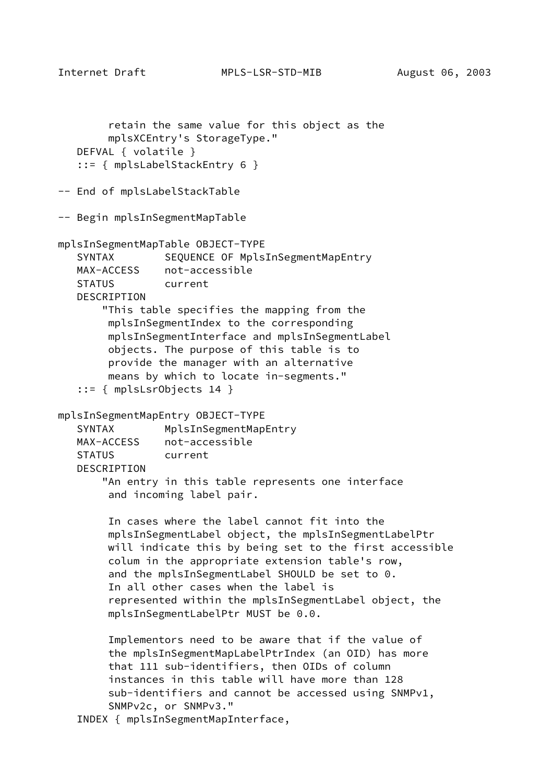Internet Draft MPLS-LSR-STD-MIB August 06, 2003

```
 retain the same value for this object as the
         mplsXCEntry's StorageType."
    DEFVAL { volatile }
    ::= { mplsLabelStackEntry 6 }
-- End of mplsLabelStackTable
-- Begin mplsInSegmentMapTable
mplsInSegmentMapTable OBJECT-TYPE
   SYNTAX SEQUENCE OF MplsInSegmentMapEntry
   MAX-ACCESS not-accessible
    STATUS current
    DESCRIPTION
        "This table specifies the mapping from the
         mplsInSegmentIndex to the corresponding
         mplsInSegmentInterface and mplsInSegmentLabel
         objects. The purpose of this table is to
         provide the manager with an alternative
         means by which to locate in-segments."
    ::= { mplsLsrObjects 14 }
mplsInSegmentMapEntry OBJECT-TYPE
   SYNTAX MplsInSegmentMapEntry
   MAX-ACCESS not-accessible
    STATUS current
    DESCRIPTION
        "An entry in this table represents one interface
         and incoming label pair.
         In cases where the label cannot fit into the
         mplsInSegmentLabel object, the mplsInSegmentLabelPtr
         will indicate this by being set to the first accessible
         colum in the appropriate extension table's row,
         and the mplsInSegmentLabel SHOULD be set to 0.
         In all other cases when the label is
         represented within the mplsInSegmentLabel object, the
         mplsInSegmentLabelPtr MUST be 0.0.
         Implementors need to be aware that if the value of
         the mplsInSegmentMapLabelPtrIndex (an OID) has more
         that 111 sub-identifiers, then OIDs of column
         instances in this table will have more than 128
         sub-identifiers and cannot be accessed using SNMPv1,
         SNMPv2c, or SNMPv3."
    INDEX { mplsInSegmentMapInterface,
```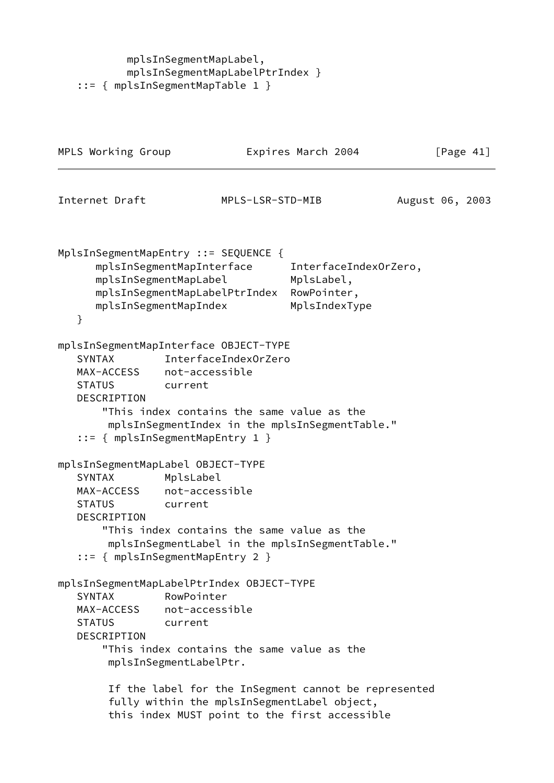mplsInSegmentMapLabel, mplsInSegmentMapLabelPtrIndex } ::= { mplsInSegmentMapTable 1 }

| MPLS Working Group                                                 |                                                                                                                                                                                                                                 | Expires March 2004                                                  | [Page $41$ ]    |
|--------------------------------------------------------------------|---------------------------------------------------------------------------------------------------------------------------------------------------------------------------------------------------------------------------------|---------------------------------------------------------------------|-----------------|
| Internet Draft                                                     | MPLS-LSR-STD-MIB                                                                                                                                                                                                                |                                                                     | August 06, 2003 |
| }                                                                  | MplsInSegmentMapEntry ::= SEQUENCE {<br>mplsInSegmentMapInterface<br>mplsInSegmentMapLabel<br>mplsInSegmentMapLabelPtrIndex<br>mplsInSegmentMapIndex                                                                            | InterfaceIndexOrZero,<br>MplsLabel,<br>RowPointer,<br>MplsIndexType |                 |
| <b>SYNTAX</b><br>MAX-ACCESS<br><b>STATUS</b><br><b>DESCRIPTION</b> | mplsInSegmentMapInterface OBJECT-TYPE<br>InterfaceIndex0rZero<br>not-accessible<br>current<br>"This index contains the same value as the<br>mplsInSegmentIndex in the mplsInSegmentTable."<br>$::=$ { mplsInSegmentMapEntry 1 } |                                                                     |                 |
| <b>SYNTAX</b><br>MAX-ACCESS<br><b>STATUS</b><br>DESCRIPTION        | mplsInSegmentMapLabel OBJECT-TYPE<br>MplsLabel<br>not-accessible<br>current<br>"This index contains the same value as the<br>mplsInSegmentLabel in the mplsInSegmentTable."<br>$::=$ { mplsInSegmentMapEntry 2 }                |                                                                     |                 |
| <b>SYNTAX</b><br><b>STATUS</b><br>DESCRIPTION                      | mplsInSegmentMapLabelPtrIndex OBJECT-TYPE<br>RowPointer<br>MAX-ACCESS not-accessible<br>current<br>"This index contains the same value as the<br>mplsInSegmentLabelPtr.                                                         |                                                                     |                 |
|                                                                    | If the label for the InSegment cannot be represented<br>fully within the mplsInSegmentLabel object,<br>this index MUST point to the first accessible                                                                            |                                                                     |                 |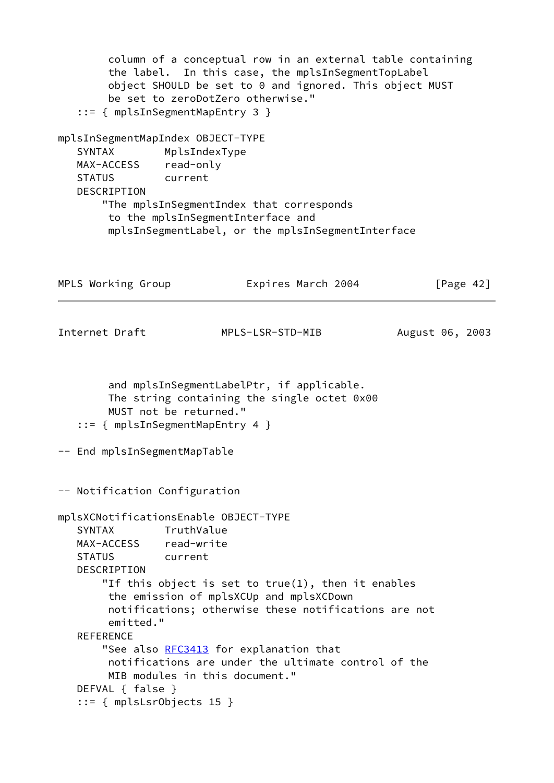```
 column of a conceptual row in an external table containing
        the label. In this case, the mplsInSegmentTopLabel
        object SHOULD be set to 0 and ignored. This object MUST
        be set to zeroDotZero otherwise."
    ::= { mplsInSegmentMapEntry 3 }
mplsInSegmentMapIndex OBJECT-TYPE
    SYNTAX MplsIndexType
   MAX-ACCESS read-only
   STATUS current
   DESCRIPTION
       "The mplsInSegmentIndex that corresponds
        to the mplsInSegmentInterface and
        mplsInSegmentLabel, or the mplsInSegmentInterface
MPLS Working Group Expires March 2004 [Page 42]
Internet Draft MPLS-LSR-STD-MIB August 06, 2003
        and mplsInSegmentLabelPtr, if applicable.
        The string containing the single octet 0x00
        MUST not be returned."
    ::= { mplsInSegmentMapEntry 4 }
-- End mplsInSegmentMapTable
-- Notification Configuration
mplsXCNotificationsEnable OBJECT-TYPE
   SYNTAX TruthValue
   MAX-ACCESS read-write
   STATUS current
   DESCRIPTION
       "If this object is set to true(1), then it enables
        the emission of mplsXCUp and mplsXCDown
        notifications; otherwise these notifications are not
        emitted."
   REFERENCE
       RFC3413 for explanation that
        notifications are under the ultimate control of the
        MIB modules in this document."
   DEFVAL { false }
    ::= { mplsLsrObjects 15 }
```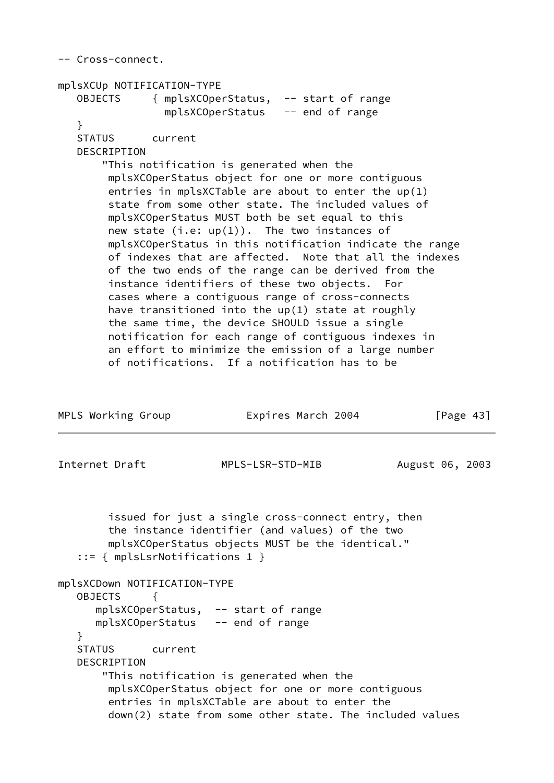|                    | mplsXCUp NOTIFICATION-TYPE               |                  |                                                                                                                                                           |                 |
|--------------------|------------------------------------------|------------------|-----------------------------------------------------------------------------------------------------------------------------------------------------------|-----------------|
|                    |                                          |                  | OBJECTS { mplsXCOperStatus, -- start of range                                                                                                             |                 |
| $\mathcal{F}$      |                                          |                  | mplsXCOperStatus -- end of range                                                                                                                          |                 |
|                    | STATUS current                           |                  |                                                                                                                                                           |                 |
| DESCRIPTION        |                                          |                  |                                                                                                                                                           |                 |
|                    | "This notification is generated when the |                  |                                                                                                                                                           |                 |
|                    |                                          |                  | mplsXCOperStatus object for one or more contiguous                                                                                                        |                 |
|                    |                                          |                  | entries in mplsXCTable are about to enter the $up(1)$                                                                                                     |                 |
|                    |                                          |                  | state from some other state. The included values of                                                                                                       |                 |
|                    |                                          |                  | mplsXCOperStatus MUST both be set equal to this                                                                                                           |                 |
|                    |                                          |                  | new state $(i.e: up(1))$ . The two instances of<br>mplsXCOperStatus in this notification indicate the range                                               |                 |
|                    |                                          |                  | of indexes that are affected. Note that all the indexes                                                                                                   |                 |
|                    |                                          |                  | of the two ends of the range can be derived from the                                                                                                      |                 |
|                    |                                          |                  | instance identifiers of these two objects. For                                                                                                            |                 |
|                    |                                          |                  | cases where a contiguous range of cross-connects                                                                                                          |                 |
|                    |                                          |                  | have transitioned into the up(1) state at roughly                                                                                                         |                 |
|                    |                                          |                  | the same time, the device SHOULD issue a single                                                                                                           |                 |
|                    |                                          |                  | notification for each range of contiguous indexes in<br>an effort to minimize the emission of a large number                                              |                 |
|                    |                                          |                  | of notifications. If a notification has to be                                                                                                             |                 |
|                    |                                          |                  |                                                                                                                                                           |                 |
| MPLS Working Group |                                          |                  | Expires March 2004                                                                                                                                        | [Page $43$ ]    |
|                    |                                          |                  |                                                                                                                                                           |                 |
|                    |                                          | MPLS-LSR-STD-MIB |                                                                                                                                                           | August 06, 2003 |
| Internet Draft     | ::= { mplsLsrNotifications 1 }           |                  | issued for just a single cross-connect entry, then<br>the instance identifier (and values) of the two<br>mplsXCOperStatus objects MUST be the identical." |                 |
|                    | mplsXCDown NOTIFICATION-TYPE             |                  |                                                                                                                                                           |                 |
| <b>OBJECTS</b>     | ₹                                        |                  |                                                                                                                                                           |                 |
|                    | mplsXCOperStatus, -- start of range      |                  |                                                                                                                                                           |                 |
|                    | mplsXCOperStatus -- end of range         |                  |                                                                                                                                                           |                 |
| ł                  |                                          |                  |                                                                                                                                                           |                 |
|                    | STATUS current                           |                  |                                                                                                                                                           |                 |
| DESCRIPTION        |                                          |                  |                                                                                                                                                           |                 |
|                    | "This notification is generated when the |                  |                                                                                                                                                           |                 |
|                    |                                          |                  | mplsXCOperStatus object for one or more contiguous<br>entries in mplsXCTable are about to enter the                                                       |                 |
|                    |                                          |                  | down(2) state from some other state. The included values                                                                                                  |                 |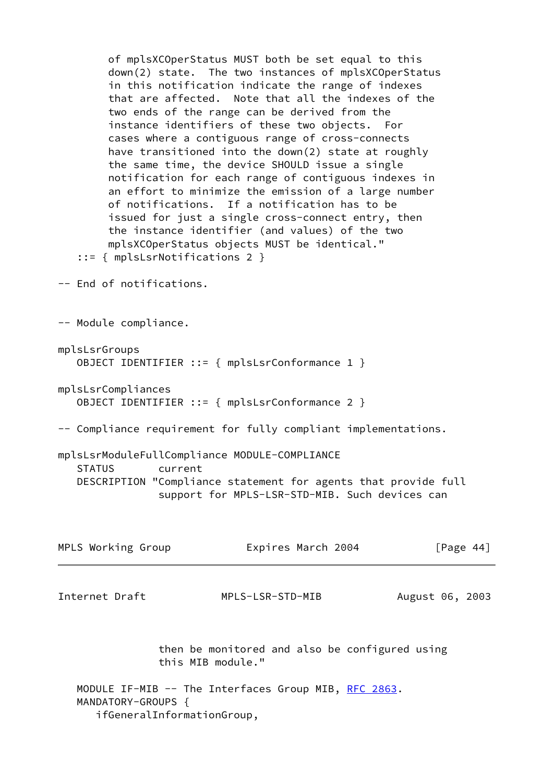of mplsXCOperStatus MUST both be set equal to this down(2) state. The two instances of mplsXCOperStatus in this notification indicate the range of indexes that are affected. Note that all the indexes of the two ends of the range can be derived from the instance identifiers of these two objects. For cases where a contiguous range of cross-connects have transitioned into the down(2) state at roughly the same time, the device SHOULD issue a single notification for each range of contiguous indexes in an effort to minimize the emission of a large number of notifications. If a notification has to be issued for just a single cross-connect entry, then the instance identifier (and values) of the two mplsXCOperStatus objects MUST be identical." ::= { mplsLsrNotifications 2 } -- End of notifications. -- Module compliance. mplsLsrGroups OBJECT IDENTIFIER ::= { mplsLsrConformance 1 } mplsLsrCompliances OBJECT IDENTIFIER ::= { mplsLsrConformance 2 } -- Compliance requirement for fully compliant implementations. mplsLsrModuleFullCompliance MODULE-COMPLIANCE STATUS current DESCRIPTION "Compliance statement for agents that provide full support for MPLS-LSR-STD-MIB. Such devices can MPLS Working Group **Expires March 2004** [Page 44] Internet Draft MPLS-LSR-STD-MIB August 06, 2003 then be monitored and also be configured using this MIB module." MODULE IF-MIB -- The Interfaces Group MIB, [RFC 2863.](https://datatracker.ietf.org/doc/pdf/rfc2863) MANDATORY-GROUPS { ifGeneralInformationGroup,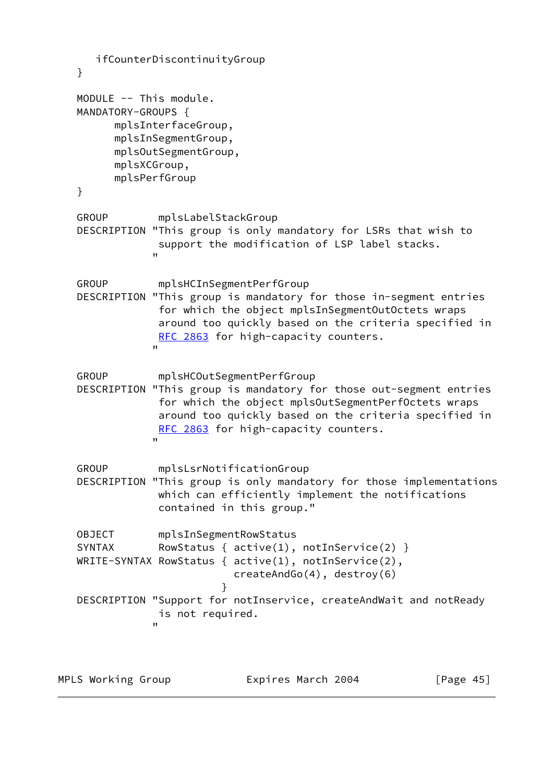```
 ifCounterDiscontinuityGroup
   }
   MODULE -- This module.
   MANDATORY-GROUPS {
         mplsInterfaceGroup,
         mplsInSegmentGroup,
         mplsOutSegmentGroup,
         mplsXCGroup,
         mplsPerfGroup
   }
   GROUP mplsLabelStackGroup
   DESCRIPTION "This group is only mandatory for LSRs that wish to
               support the modification of LSP label stacks.
 "
   GROUP mplsHCInSegmentPerfGroup
   DESCRIPTION "This group is mandatory for those in-segment entries
                for which the object mplsInSegmentOutOctets wraps
                around too quickly based on the criteria specified in
              RFC 2863 for high-capacity counters.
 "
   GROUP mplsHCOutSegmentPerfGroup
   DESCRIPTION "This group is mandatory for those out-segment entries
                for which the object mplsOutSegmentPerfOctets wraps
                around too quickly based on the criteria specified in
              RFC 2863 for high-capacity counters.
 "
   GROUP mplsLsrNotificationGroup
   DESCRIPTION "This group is only mandatory for those implementations
               which can efficiently implement the notifications
                contained in this group."
   OBJECT mplsInSegmentRowStatus
  SYNTAX RowStatus { active(1), notInService(2) }
   WRITE-SYNTAX RowStatus { active(1), notInService(2),
                           createAndGo(4), destroy(6)
 }
   DESCRIPTION "Support for notInservice, createAndWait and notReady
               is not required.
 "
```
MPLS Working Group **Expires March 2004** [Page 45]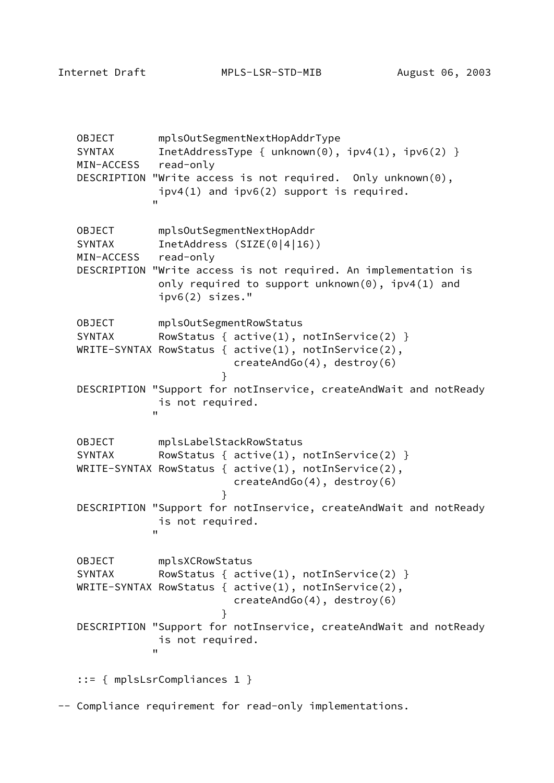Internet Draft MPLS-LSR-STD-MIB August 06, 2003

 OBJECT mplsOutSegmentNextHopAddrType SYNTAX InetAddressType { unknown(0),  $ipv4(1)$ ,  $ipv6(2)$  } MIN-ACCESS read-only DESCRIPTION "Write access is not required. Only unknown(0), ipv4(1) and ipv6(2) support is required. " OBJECT mplsOutSegmentNextHopAddr SYNTAX InetAddress (SIZE(0|4|16)) MIN-ACCESS read-only DESCRIPTION "Write access is not required. An implementation is only required to support unknown(0), ipv4(1) and ipv6(2) sizes." OBJECT mplsOutSegmentRowStatus SYNTAX RowStatus {  $active(1)$ ,  $notInService(2)$  } WRITE-SYNTAX RowStatus { active(1), notInService(2), createAndGo(4), destroy(6) } DESCRIPTION "Support for notInservice, createAndWait and notReady is not required. " OBJECT mplsLabelStackRowStatus SYNTAX RowStatus {  $active(1)$ ,  $notInService(2)$  } WRITE-SYNTAX RowStatus { active(1), notInService(2), createAndGo(4), destroy(6) } DESCRIPTION "Support for notInservice, createAndWait and notReady is not required. " OBJECT mplsXCRowStatus SYNTAX RowStatus {  $active(1)$ ,  $notInService(2)$  } WRITE-SYNTAX RowStatus { active(1), notInService(2), createAndGo(4), destroy(6) } DESCRIPTION "Support for notInservice, createAndWait and notReady is not required. " ::= { mplsLsrCompliances 1 } -- Compliance requirement for read-only implementations.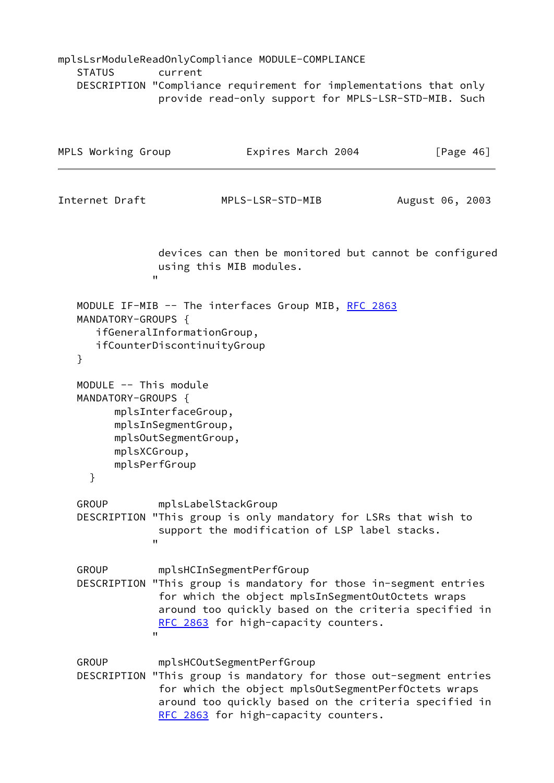# mplsLsrModuleReadOnlyCompliance MODULE-COMPLIANCE STATUS current DESCRIPTION "Compliance requirement for implementations that only provide read-only support for MPLS-LSR-STD-MIB. Such

| MPLS Working Group                               | Expires March 2004                                                                                                                                                                                                                                      | [Page $46$ ]    |
|--------------------------------------------------|---------------------------------------------------------------------------------------------------------------------------------------------------------------------------------------------------------------------------------------------------------|-----------------|
| Internet Draft                                   | MPLS-LSR-STD-MIB                                                                                                                                                                                                                                        | August 06, 2003 |
|                                                  | devices can then be monitored but cannot be configured<br>using this MIB modules.<br>$\mathbf{H}$                                                                                                                                                       |                 |
| MANDATORY-GROUPS {<br>}                          | MODULE IF-MIB -- The interfaces Group MIB, RFC 2863<br>ifGeneralInformationGroup,<br>ifCounterDiscontinuityGroup                                                                                                                                        |                 |
| MODULE -- This module<br>MANDATORY-GROUPS {<br>} | mplsInterfaceGroup,<br>mplsInSegmentGroup,<br>mplsOutSegmentGroup,<br>mplsXCGroup,<br>mplsPerfGroup                                                                                                                                                     |                 |
| <b>GROUP</b>                                     | mplsLabelStackGroup<br>DESCRIPTION "This group is only mandatory for LSRs that wish to<br>support the modification of LSP label stacks.<br>$\mathbf{H}$                                                                                                 |                 |
| <b>GROUP</b><br>DESCRIPTION                      | mplsHCInSegmentPerfGroup<br>"This group is mandatory for those in-segment entries<br>for which the object mplsInSegmentOutOctets wraps<br>around too quickly based on the criteria specified in<br>RFC 2863 for high-capacity counters.<br>$\mathbf{H}$ |                 |
| <b>GROUP</b><br>DESCRIPTION                      | mplsHCOutSegmentPerfGroup<br>"This group is mandatory for those out-segment entries<br>for which the object mplsOutSegmentPerfOctets wraps<br>around too quickly based on the criteria specified in<br>RFC 2863 for high-capacity counters.             |                 |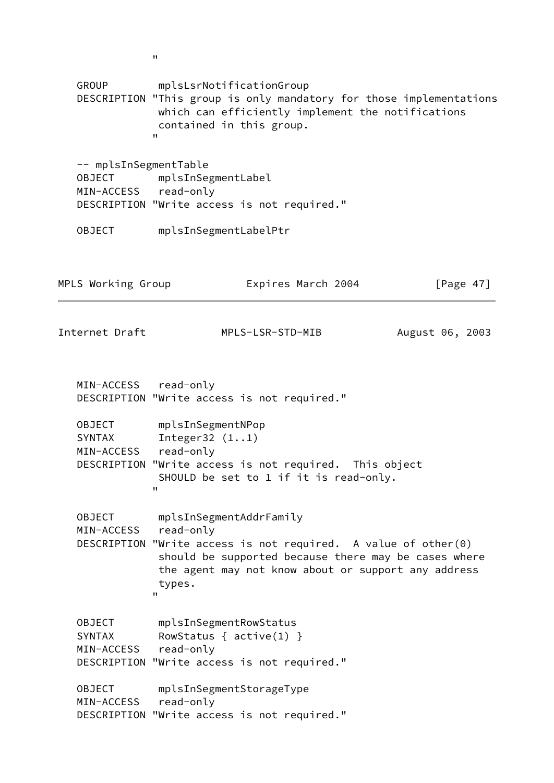GROUP mplsLsrNotificationGroup DESCRIPTION "This group is only mandatory for those implementations which can efficiently implement the notifications contained in this group. " -- mplsInSegmentTable OBJECT mplsInSegmentLabel MIN-ACCESS read-only DESCRIPTION "Write access is not required." OBJECT mplsInSegmentLabelPtr MPLS Working Group **Expires March 2004** [Page 47] Internet Draft MPLS-LSR-STD-MIB August 06, 2003 MIN-ACCESS read-only DESCRIPTION "Write access is not required." OBJECT mplsInSegmentNPop SYNTAX Integer32 (1..1) MIN-ACCESS read-only DESCRIPTION "Write access is not required. This object SHOULD be set to 1 if it is read-only. " OBJECT mplsInSegmentAddrFamily MIN-ACCESS read-only DESCRIPTION "Write access is not required. A value of other(0) should be supported because there may be cases where the agent may not know about or support any address types. " OBJECT mplsInSegmentRowStatus SYNTAX RowStatus {  $active(1)$  } MIN-ACCESS read-only DESCRIPTION "Write access is not required." OBJECT mplsInSegmentStorageType MIN-ACCESS read-only DESCRIPTION "Write access is not required."

"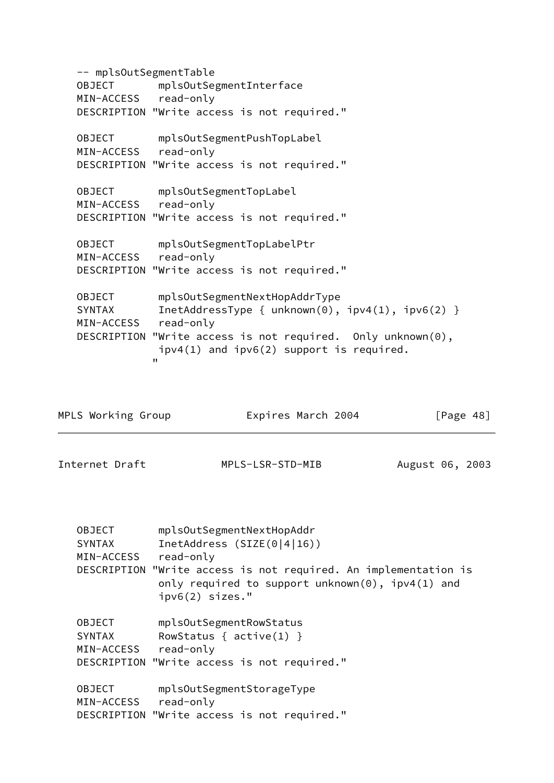-- mplsOutSegmentTable OBJECT mplsOutSegmentInterface MIN-ACCESS read-only DESCRIPTION "Write access is not required." OBJECT mplsOutSegmentPushTopLabel MIN-ACCESS read-only DESCRIPTION "Write access is not required." OBJECT mplsOutSegmentTopLabel MIN-ACCESS read-only DESCRIPTION "Write access is not required." OBJECT mplsOutSegmentTopLabelPtr MIN-ACCESS read-only DESCRIPTION "Write access is not required." OBJECT mplsOutSegmentNextHopAddrType SYNTAX InetAddressType { unknown(0), ipv4(1), ipv6(2) } MIN-ACCESS read-only DESCRIPTION "Write access is not required. Only unknown(0), ipv4(1) and ipv6(2) support is required. "

| MPLS Working Group                           |                                                                                                                                                              | Expires March 2004                                      | [Page $48$ ]    |
|----------------------------------------------|--------------------------------------------------------------------------------------------------------------------------------------------------------------|---------------------------------------------------------|-----------------|
| Internet Draft                               |                                                                                                                                                              | MPLS-LSR-STD-MIB                                        | August 06, 2003 |
| <b>OBJECT</b><br><b>SYNTAX</b><br>MIN-ACCESS | mplsOutSegmentNextHopAddr<br>InetAddress (SIZE(0 4 16))<br>read-only<br>DESCRIPTION "Write access is not required. An implementation is<br>$ipv6(2)$ sizes." | only required to support unknown $(0)$ , ipv4 $(1)$ and |                 |
| <b>OBJECT</b><br><b>SYNTAX</b><br>MIN-ACCESS | mplsOutSegmentRowStatus<br>RowStatus { $active(1)$ }<br>read-only<br>DESCRIPTION "Write access is not required."                                             |                                                         |                 |
| <b>OBJECT</b><br>MIN-ACCESS read-only        | mplsOutSegmentStorageType<br>DESCRIPTION "Write access is not required."                                                                                     |                                                         |                 |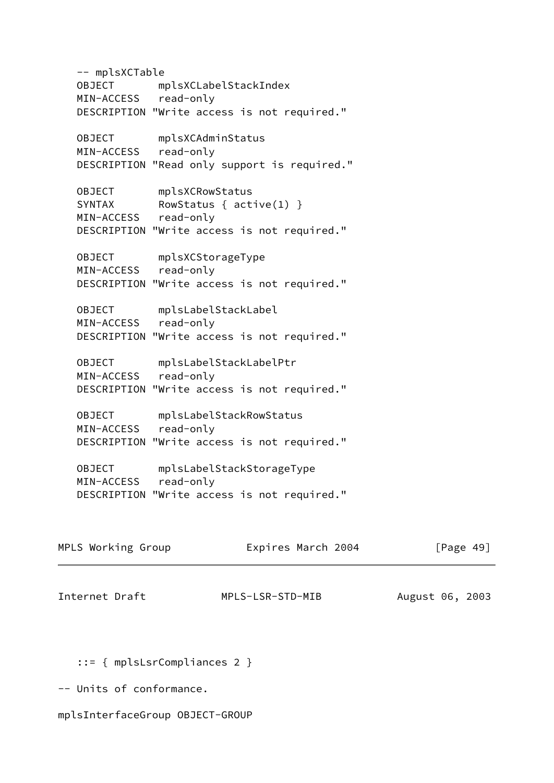-- mplsXCTable OBJECT mplsXCLabelStackIndex MIN-ACCESS read-only DESCRIPTION "Write access is not required." OBJECT mplsXCAdminStatus MIN-ACCESS read-only DESCRIPTION "Read only support is required." OBJECT mplsXCRowStatus<br>SYNTAX RowStatus { act RowStatus  $\{$  active(1)  $\}$  MIN-ACCESS read-only DESCRIPTION "Write access is not required." OBJECT mplsXCStorageType MIN-ACCESS read-only DESCRIPTION "Write access is not required." OBJECT mplsLabelStackLabel MIN-ACCESS read-only DESCRIPTION "Write access is not required." OBJECT mplsLabelStackLabelPtr MIN-ACCESS read-only DESCRIPTION "Write access is not required." OBJECT mplsLabelStackRowStatus MIN-ACCESS read-only DESCRIPTION "Write access is not required." OBJECT mplsLabelStackStorageType MIN-ACCESS read-only DESCRIPTION "Write access is not required." MPLS Working Group **Expires March 2004** [Page 49]

Internet Draft MPLS-LSR-STD-MIB August 06, 2003

::= { mplsLsrCompliances 2 }

-- Units of conformance.

mplsInterfaceGroup OBJECT-GROUP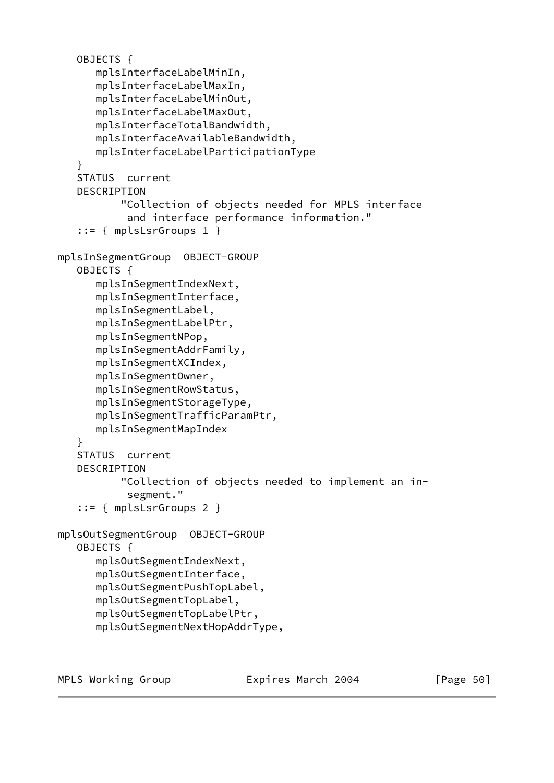```
 OBJECTS {
       mplsInterfaceLabelMinIn,
       mplsInterfaceLabelMaxIn,
       mplsInterfaceLabelMinOut,
       mplsInterfaceLabelMaxOut,
       mplsInterfaceTotalBandwidth,
       mplsInterfaceAvailableBandwidth,
       mplsInterfaceLabelParticipationType
    }
    STATUS current
    DESCRIPTION
           "Collection of objects needed for MPLS interface
            and interface performance information."
    ::= { mplsLsrGroups 1 }
mplsInSegmentGroup OBJECT-GROUP
    OBJECTS {
       mplsInSegmentIndexNext,
       mplsInSegmentInterface,
       mplsInSegmentLabel,
       mplsInSegmentLabelPtr,
       mplsInSegmentNPop,
       mplsInSegmentAddrFamily,
       mplsInSegmentXCIndex,
       mplsInSegmentOwner,
       mplsInSegmentRowStatus,
       mplsInSegmentStorageType,
       mplsInSegmentTrafficParamPtr,
       mplsInSegmentMapIndex
    }
    STATUS current
    DESCRIPTION
           "Collection of objects needed to implement an in-
            segment."
    ::= { mplsLsrGroups 2 }
mplsOutSegmentGroup OBJECT-GROUP
    OBJECTS {
       mplsOutSegmentIndexNext,
       mplsOutSegmentInterface,
       mplsOutSegmentPushTopLabel,
       mplsOutSegmentTopLabel,
       mplsOutSegmentTopLabelPtr,
       mplsOutSegmentNextHopAddrType,
```
MPLS Working Group **Expires March 2004** [Page 50]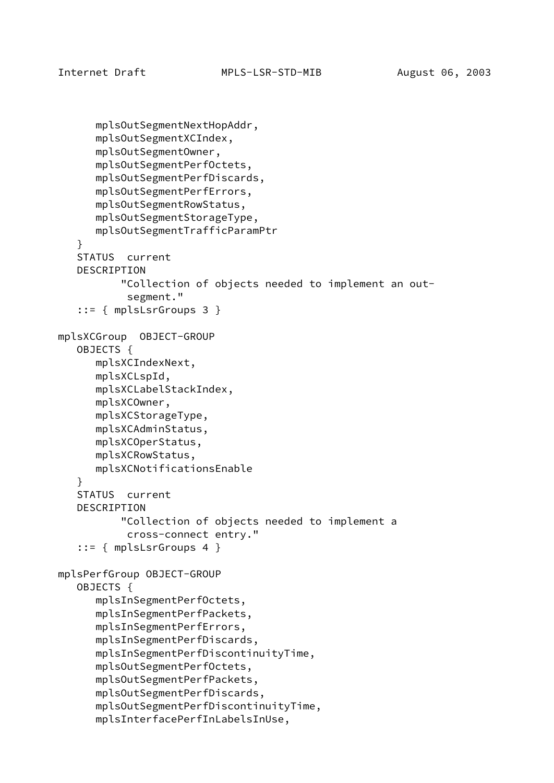```
 mplsOutSegmentNextHopAddr,
       mplsOutSegmentXCIndex,
       mplsOutSegmentOwner,
       mplsOutSegmentPerfOctets,
       mplsOutSegmentPerfDiscards,
       mplsOutSegmentPerfErrors,
       mplsOutSegmentRowStatus,
       mplsOutSegmentStorageType,
       mplsOutSegmentTrafficParamPtr
    }
    STATUS current
    DESCRIPTION
           "Collection of objects needed to implement an out-
            segment."
    ::= { mplsLsrGroups 3 }
mplsXCGroup OBJECT-GROUP
    OBJECTS {
       mplsXCIndexNext,
       mplsXCLspId,
       mplsXCLabelStackIndex,
       mplsXCOwner,
       mplsXCStorageType,
       mplsXCAdminStatus,
       mplsXCOperStatus,
       mplsXCRowStatus,
       mplsXCNotificationsEnable
    }
    STATUS current
    DESCRIPTION
           "Collection of objects needed to implement a
            cross-connect entry."
    ::= { mplsLsrGroups 4 }
mplsPerfGroup OBJECT-GROUP
    OBJECTS {
       mplsInSegmentPerfOctets,
       mplsInSegmentPerfPackets,
       mplsInSegmentPerfErrors,
       mplsInSegmentPerfDiscards,
       mplsInSegmentPerfDiscontinuityTime,
       mplsOutSegmentPerfOctets,
       mplsOutSegmentPerfPackets,
       mplsOutSegmentPerfDiscards,
       mplsOutSegmentPerfDiscontinuityTime,
       mplsInterfacePerfInLabelsInUse,
```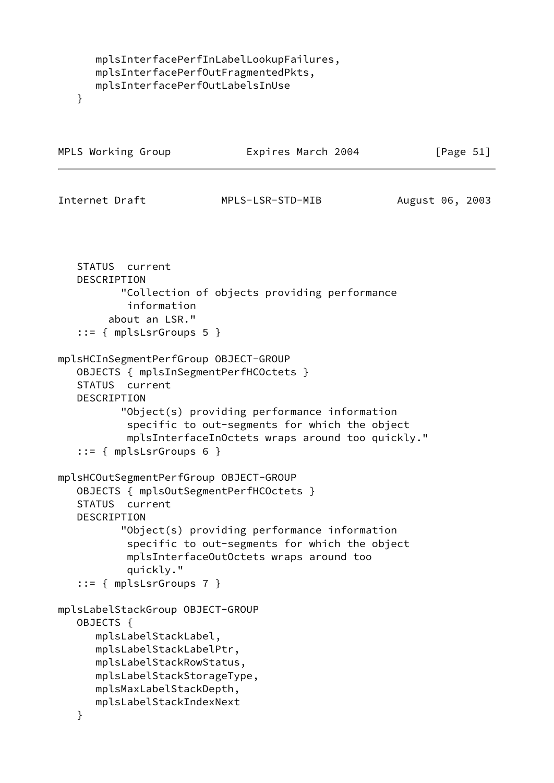```
 mplsInterfacePerfInLabelLookupFailures,
 mplsInterfacePerfOutFragmentedPkts,
 mplsInterfacePerfOutLabelsInUse
```
}

```
MPLS Working Group Expires March 2004 [Page 51]
Internet Draft MPLS-LSR-STD-MIB August 06, 2003
    STATUS current
    DESCRIPTION
           "Collection of objects providing performance
            information
         about an LSR."
    ::= { mplsLsrGroups 5 }
mplsHCInSegmentPerfGroup OBJECT-GROUP
    OBJECTS { mplsInSegmentPerfHCOctets }
    STATUS current
    DESCRIPTION
           "Object(s) providing performance information
            specific to out-segments for which the object
            mplsInterfaceInOctets wraps around too quickly."
    ::= { mplsLsrGroups 6 }
mplsHCOutSegmentPerfGroup OBJECT-GROUP
    OBJECTS { mplsOutSegmentPerfHCOctets }
    STATUS current
    DESCRIPTION
           "Object(s) providing performance information
            specific to out-segments for which the object
            mplsInterfaceOutOctets wraps around too
            quickly."
    ::= { mplsLsrGroups 7 }
mplsLabelStackGroup OBJECT-GROUP
    OBJECTS {
      mplsLabelStackLabel,
      mplsLabelStackLabelPtr,
       mplsLabelStackRowStatus,
       mplsLabelStackStorageType,
      mplsMaxLabelStackDepth,
      mplsLabelStackIndexNext
    }
```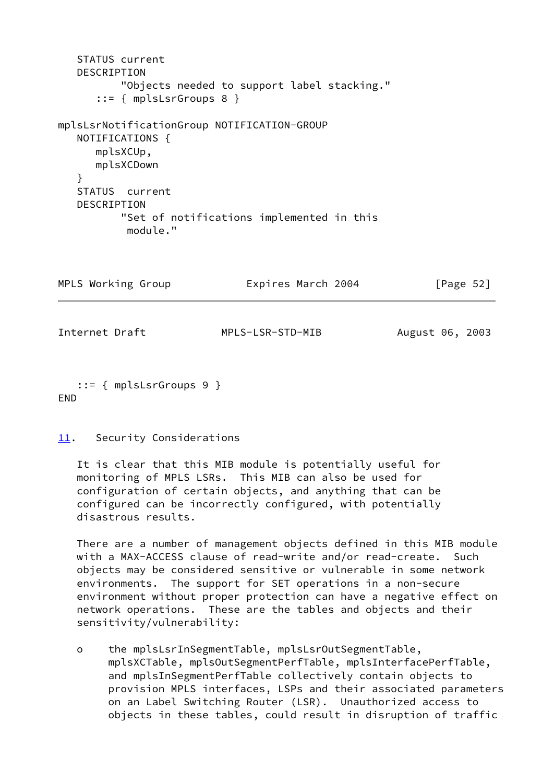```
 STATUS current
   DESCRIPTION
           "Objects needed to support label stacking."
       ::= { mplsLsrGroups 8 }
mplsLsrNotificationGroup NOTIFICATION-GROUP
   NOTIFICATIONS {
      mplsXCUp,
      mplsXCDown
    }
   STATUS current
   DESCRIPTION
           "Set of notifications implemented in this
           module."
MPLS Working Group Expires March 2004 [Page 52]
```
Internet Draft MPLS-LSR-STD-MIB August 06, 2003

 ::= { mplsLsrGroups 9 } END

## <span id="page-62-0"></span>[11.](#page-62-0) Security Considerations

 It is clear that this MIB module is potentially useful for monitoring of MPLS LSRs. This MIB can also be used for configuration of certain objects, and anything that can be configured can be incorrectly configured, with potentially disastrous results.

 There are a number of management objects defined in this MIB module with a MAX-ACCESS clause of read-write and/or read-create. Such objects may be considered sensitive or vulnerable in some network environments. The support for SET operations in a non-secure environment without proper protection can have a negative effect on network operations. These are the tables and objects and their sensitivity/vulnerability:

 o the mplsLsrInSegmentTable, mplsLsrOutSegmentTable, mplsXCTable, mplsOutSegmentPerfTable, mplsInterfacePerfTable, and mplsInSegmentPerfTable collectively contain objects to provision MPLS interfaces, LSPs and their associated parameters on an Label Switching Router (LSR). Unauthorized access to objects in these tables, could result in disruption of traffic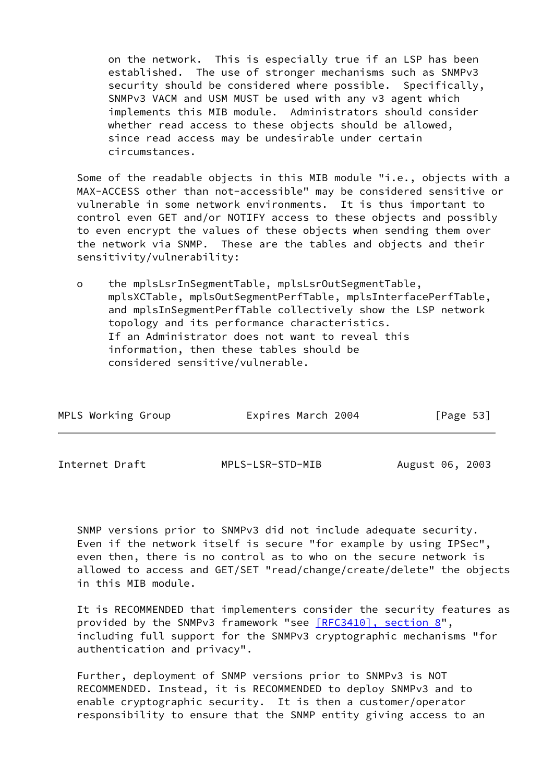on the network. This is especially true if an LSP has been established. The use of stronger mechanisms such as SNMPv3 security should be considered where possible. Specifically, SNMPv3 VACM and USM MUST be used with any v3 agent which implements this MIB module. Administrators should consider whether read access to these objects should be allowed, since read access may be undesirable under certain circumstances.

 Some of the readable objects in this MIB module "i.e., objects with a MAX-ACCESS other than not-accessible" may be considered sensitive or vulnerable in some network environments. It is thus important to control even GET and/or NOTIFY access to these objects and possibly to even encrypt the values of these objects when sending them over the network via SNMP. These are the tables and objects and their sensitivity/vulnerability:

 o the mplsLsrInSegmentTable, mplsLsrOutSegmentTable, mplsXCTable, mplsOutSegmentPerfTable, mplsInterfacePerfTable, and mplsInSegmentPerfTable collectively show the LSP network topology and its performance characteristics. If an Administrator does not want to reveal this information, then these tables should be considered sensitive/vulnerable.

<span id="page-63-0"></span>

| MPLS Working Group | Expires March 2004 | [Page 53]       |  |
|--------------------|--------------------|-----------------|--|
|                    |                    |                 |  |
| Internet Draft     | MPLS-LSR-STD-MIB   | August 06, 2003 |  |

 SNMP versions prior to SNMPv3 did not include adequate security. Even if the network itself is secure "for example by using IPSec", even then, there is no control as to who on the secure network is allowed to access and GET/SET "read/change/create/delete" the objects in this MIB module.

 It is RECOMMENDED that implementers consider the security features as provided by the SNMPv3 framework "see [\[RFC3410\], section](https://datatracker.ietf.org/doc/pdf/rfc3410#section-8) 8", including full support for the SNMPv3 cryptographic mechanisms "for authentication and privacy".

 Further, deployment of SNMP versions prior to SNMPv3 is NOT RECOMMENDED. Instead, it is RECOMMENDED to deploy SNMPv3 and to enable cryptographic security. It is then a customer/operator responsibility to ensure that the SNMP entity giving access to an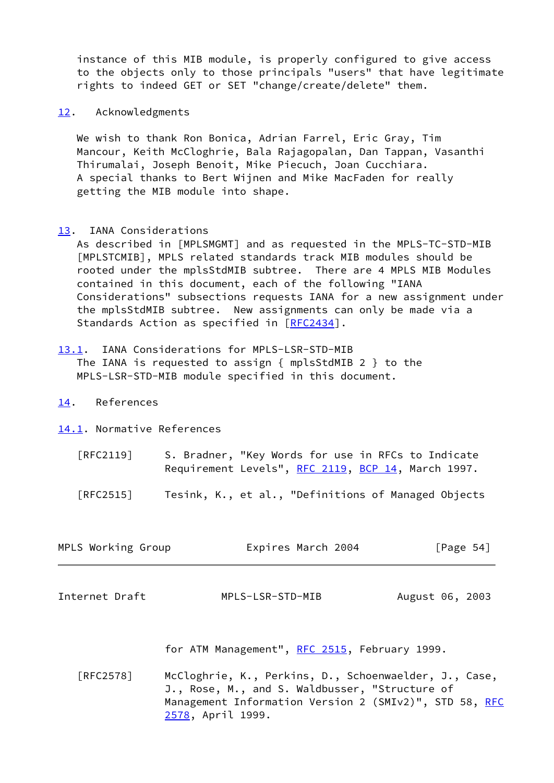instance of this MIB module, is properly configured to give access to the objects only to those principals "users" that have legitimate rights to indeed GET or SET "change/create/delete" them.

<span id="page-64-0"></span>[12.](#page-64-0) Acknowledgments

 We wish to thank Ron Bonica, Adrian Farrel, Eric Gray, Tim Mancour, Keith McCloghrie, Bala Rajagopalan, Dan Tappan, Vasanthi Thirumalai, Joseph Benoit, Mike Piecuch, Joan Cucchiara. A special thanks to Bert Wijnen and Mike MacFaden for really getting the MIB module into shape.

<span id="page-64-1"></span>[13.](#page-64-1) IANA Considerations

 As described in [MPLSMGMT] and as requested in the MPLS-TC-STD-MIB [MPLSTCMIB], MPLS related standards track MIB modules should be rooted under the mplsStdMIB subtree. There are 4 MPLS MIB Modules contained in this document, each of the following "IANA Considerations" subsections requests IANA for a new assignment under the mplsStdMIB subtree. New assignments can only be made via a Standards Action as specified in [\[RFC2434](https://datatracker.ietf.org/doc/pdf/rfc2434)].

- <span id="page-64-2"></span>[13.1](#page-64-2). IANA Considerations for MPLS-LSR-STD-MIB The IANA is requested to assign { mplsStdMIB 2 } to the MPLS-LSR-STD-MIB module specified in this document.
- <span id="page-64-3"></span>[14.](#page-64-3) References

<span id="page-64-4"></span>[14.1](#page-64-4). Normative References

- [RFC2119] S. Bradner, "Key Words for use in RFCs to Indicate Requirement Levels", [RFC 2119,](https://datatracker.ietf.org/doc/pdf/rfc2119) [BCP 14](https://datatracker.ietf.org/doc/pdf/bcp14), March 1997.
- [RFC2515] Tesink, K., et al., "Definitions of Managed Objects

| MPLS Working Group | Expires March 2004 | [Page 54] |  |
|--------------------|--------------------|-----------|--|
|                    |                    |           |  |

Internet Draft MPLS-LSR-STD-MIB August 06, 2003

for ATM Management", [RFC 2515,](https://datatracker.ietf.org/doc/pdf/rfc2515) February 1999.

 [RFC2578] McCloghrie, K., Perkins, D., Schoenwaelder, J., Case, J., Rose, M., and S. Waldbusser, "Structure of Management Information Version 2 (SMIv2)", STD 58, [RFC](https://datatracker.ietf.org/doc/pdf/rfc2578) [2578](https://datatracker.ietf.org/doc/pdf/rfc2578), April 1999.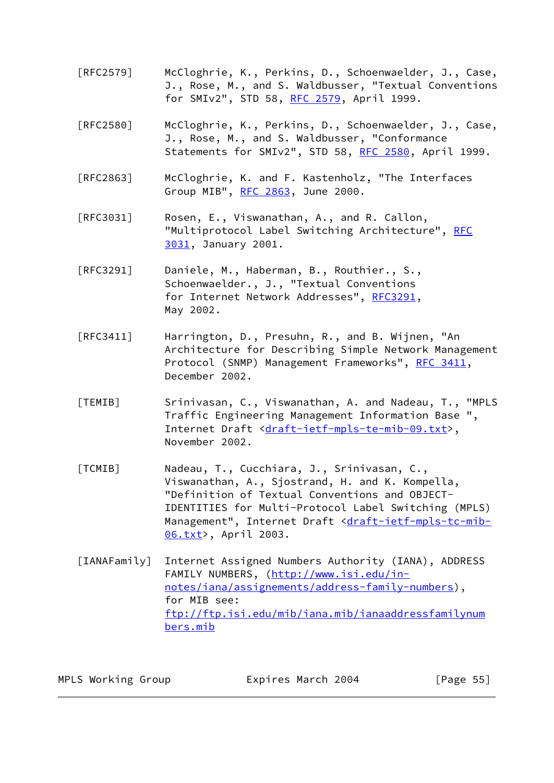- [RFC2579] McCloghrie, K., Perkins, D., Schoenwaelder, J., Case, J., Rose, M., and S. Waldbusser, "Textual Conventions for SMIv2", STD 58, [RFC 2579](https://datatracker.ietf.org/doc/pdf/rfc2579), April 1999.
- [RFC2580] McCloghrie, K., Perkins, D., Schoenwaelder, J., Case, J., Rose, M., and S. Waldbusser, "Conformance Statements for SMIv2", STD 58, [RFC 2580](https://datatracker.ietf.org/doc/pdf/rfc2580), April 1999.
- [RFC2863] McCloghrie, K. and F. Kastenholz, "The Interfaces Group MIB", [RFC 2863](https://datatracker.ietf.org/doc/pdf/rfc2863), June 2000.
- [RFC3031] Rosen, E., Viswanathan, A., and R. Callon, "Multiprotocol Label Switching Architecture", [RFC](https://datatracker.ietf.org/doc/pdf/rfc3031) [3031](https://datatracker.ietf.org/doc/pdf/rfc3031), January 2001.
- [RFC3291] Daniele, M., Haberman, B., Routhier., S., Schoenwaelder., J., "Textual Conventions for Internet Network Addresses", [RFC3291](https://datatracker.ietf.org/doc/pdf/rfc3291), May 2002.
- [RFC3411] Harrington, D., Presuhn, R., and B. Wijnen, "An Architecture for Describing Simple Network Management Protocol (SNMP) Management Frameworks", [RFC 3411](https://datatracker.ietf.org/doc/pdf/rfc3411), December 2002.
- <span id="page-65-0"></span> [TEMIB] Srinivasan, C., Viswanathan, A. and Nadeau, T., "MPLS Traffic Engineering Management Information Base ", Internet Draft [<draft-ietf-mpls-te-mib-09.txt>](https://datatracker.ietf.org/doc/pdf/draft-ietf-mpls-te-mib-09.txt), November 2002.
- [TCMIB] Nadeau, T., Cucchiara, J., Srinivasan, C., Viswanathan, A., Sjostrand, H. and K. Kompella, "Definition of Textual Conventions and OBJECT- IDENTITIES for Multi-Protocol Label Switching (MPLS) Management", Internet Draft <[draft-ietf-mpls-tc-mib-](https://datatracker.ietf.org/doc/pdf/draft-ietf-mpls-tc-mib-06.txt) [06.txt](https://datatracker.ietf.org/doc/pdf/draft-ietf-mpls-tc-mib-06.txt)>, April 2003.
- [IANAFamily] Internet Assigned Numbers Authority (IANA), ADDRESS FAMILY NUMBERS, ([http://www.isi.edu/in](http://www.isi.edu/in-notes/iana/assignements/address-family-numbers) [notes/iana/assignements/address-family-numbers](http://www.isi.edu/in-notes/iana/assignements/address-family-numbers)), for MIB see: [ftp://ftp.isi.edu/mib/iana.mib/ianaaddressfamilynum](ftp://ftp.isi.edu/mib/iana.mib/ianaaddressfamilynumbers.mib) [bers.mib](ftp://ftp.isi.edu/mib/iana.mib/ianaaddressfamilynumbers.mib)

| MPLS Working Group | Expires March 2004 | [Page 55] |  |
|--------------------|--------------------|-----------|--|
|--------------------|--------------------|-----------|--|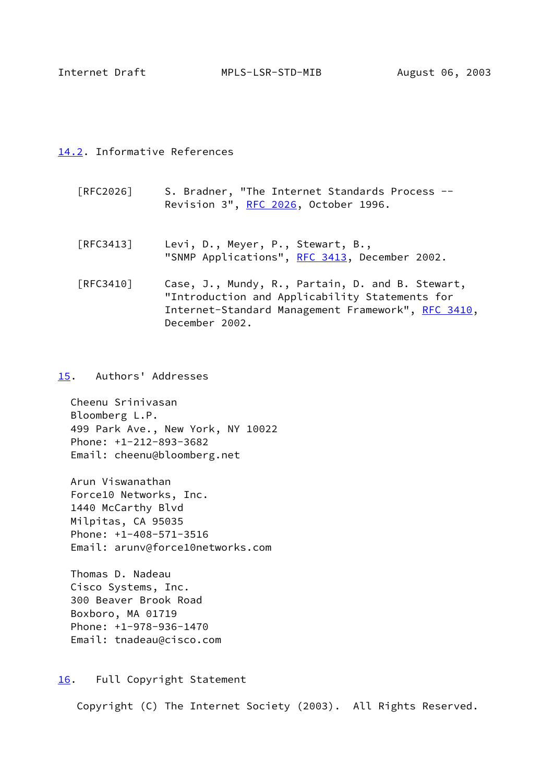<span id="page-66-1"></span>Internet Draft MPLS-LSR-STD-MIB August 06, 2003

## <span id="page-66-0"></span>[14.2](#page-66-0). Informative References

- [RFC2026] S. Bradner, "The Internet Standards Process -- Revision 3", [RFC 2026,](https://datatracker.ietf.org/doc/pdf/rfc2026) October 1996.
- [RFC3413] Levi, D., Meyer, P., Stewart, B., "SNMP Applications", [RFC 3413,](https://datatracker.ietf.org/doc/pdf/rfc3413) December 2002.
- [RFC3410] Case, J., Mundy, R., Partain, D. and B. Stewart, "Introduction and Applicability Statements for Internet-Standard Management Framework", [RFC 3410,](https://datatracker.ietf.org/doc/pdf/rfc3410) December 2002.

<span id="page-66-2"></span>[15.](#page-66-2) Authors' Addresses

 Cheenu Srinivasan Bloomberg L.P. 499 Park Ave., New York, NY 10022 Phone: +1-212-893-3682 Email: cheenu@bloomberg.net

 Arun Viswanathan Force10 Networks, Inc. 1440 McCarthy Blvd Milpitas, CA 95035 Phone: +1-408-571-3516 Email: arunv@force10networks.com

 Thomas D. Nadeau Cisco Systems, Inc. 300 Beaver Brook Road Boxboro, MA 01719 Phone: +1-978-936-1470 Email: tnadeau@cisco.com

<span id="page-66-3"></span>[16.](#page-66-3) Full Copyright Statement

Copyright (C) The Internet Society (2003). All Rights Reserved.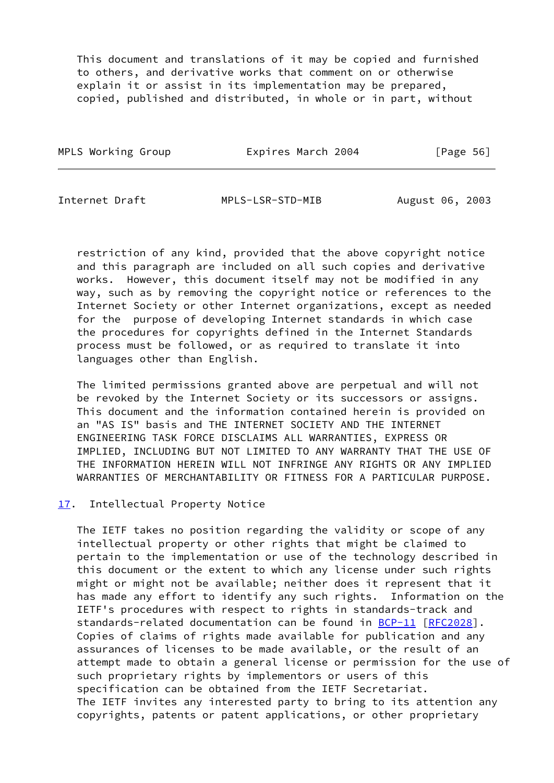This document and translations of it may be copied and furnished to others, and derivative works that comment on or otherwise explain it or assist in its implementation may be prepared, copied, published and distributed, in whole or in part, without

| MPLS Working Group | Expires March 2004 |  | [Page 56] |  |
|--------------------|--------------------|--|-----------|--|
|                    |                    |  |           |  |

<span id="page-67-1"></span>Internet Draft MPLS-LSR-STD-MIB August 06, 2003

 restriction of any kind, provided that the above copyright notice and this paragraph are included on all such copies and derivative works. However, this document itself may not be modified in any way, such as by removing the copyright notice or references to the Internet Society or other Internet organizations, except as needed for the purpose of developing Internet standards in which case the procedures for copyrights defined in the Internet Standards process must be followed, or as required to translate it into languages other than English.

 The limited permissions granted above are perpetual and will not be revoked by the Internet Society or its successors or assigns. This document and the information contained herein is provided on an "AS IS" basis and THE INTERNET SOCIETY AND THE INTERNET ENGINEERING TASK FORCE DISCLAIMS ALL WARRANTIES, EXPRESS OR IMPLIED, INCLUDING BUT NOT LIMITED TO ANY WARRANTY THAT THE USE OF THE INFORMATION HEREIN WILL NOT INFRINGE ANY RIGHTS OR ANY IMPLIED WARRANTIES OF MERCHANTABILITY OR FITNESS FOR A PARTICULAR PURPOSE.

## <span id="page-67-0"></span>[17.](#page-67-0) Intellectual Property Notice

 The IETF takes no position regarding the validity or scope of any intellectual property or other rights that might be claimed to pertain to the implementation or use of the technology described in this document or the extent to which any license under such rights might or might not be available; neither does it represent that it has made any effort to identify any such rights. Information on the IETF's procedures with respect to rights in standards-track and standards-related documentation can be found in [BCP-11](https://datatracker.ietf.org/doc/pdf/bcp11) [\[RFC2028](https://datatracker.ietf.org/doc/pdf/rfc2028)]. Copies of claims of rights made available for publication and any assurances of licenses to be made available, or the result of an attempt made to obtain a general license or permission for the use of such proprietary rights by implementors or users of this specification can be obtained from the IETF Secretariat. The IETF invites any interested party to bring to its attention any copyrights, patents or patent applications, or other proprietary